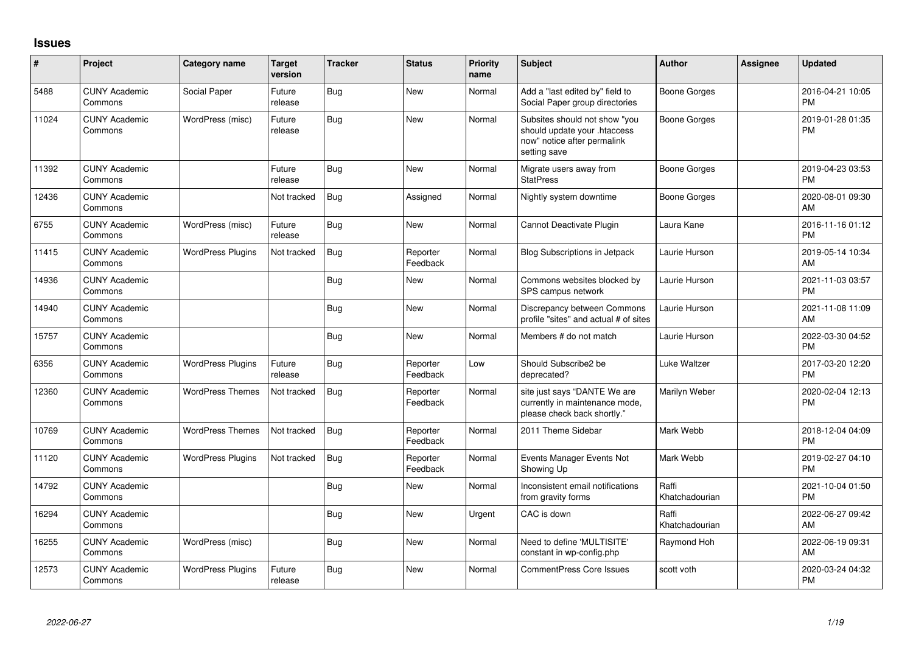## **Issues**

| #     | Project                         | <b>Category name</b>     | <b>Target</b><br>version | <b>Tracker</b> | <b>Status</b>        | <b>Priority</b><br>name | <b>Subject</b>                                                                                               | Author                  | <b>Assignee</b> | <b>Updated</b>                |
|-------|---------------------------------|--------------------------|--------------------------|----------------|----------------------|-------------------------|--------------------------------------------------------------------------------------------------------------|-------------------------|-----------------|-------------------------------|
| 5488  | <b>CUNY Academic</b><br>Commons | Social Paper             | Future<br>release        | <b>Bug</b>     | New                  | Normal                  | Add a "last edited by" field to<br>Social Paper group directories                                            | Boone Gorges            |                 | 2016-04-21 10:05<br><b>PM</b> |
| 11024 | <b>CUNY Academic</b><br>Commons | WordPress (misc)         | Future<br>release        | Bug            | <b>New</b>           | Normal                  | Subsites should not show "you<br>should update your .htaccess<br>now" notice after permalink<br>setting save | Boone Gorges            |                 | 2019-01-28 01:35<br><b>PM</b> |
| 11392 | <b>CUNY Academic</b><br>Commons |                          | Future<br>release        | Bug            | <b>New</b>           | Normal                  | Migrate users away from<br><b>StatPress</b>                                                                  | Boone Gorges            |                 | 2019-04-23 03:53<br><b>PM</b> |
| 12436 | <b>CUNY Academic</b><br>Commons |                          | Not tracked              | Bug            | Assigned             | Normal                  | Nightly system downtime                                                                                      | Boone Gorges            |                 | 2020-08-01 09:30<br>AM        |
| 6755  | <b>CUNY Academic</b><br>Commons | WordPress (misc)         | Future<br>release        | Bug            | New                  | Normal                  | Cannot Deactivate Plugin                                                                                     | Laura Kane              |                 | 2016-11-16 01:12<br><b>PM</b> |
| 11415 | <b>CUNY Academic</b><br>Commons | <b>WordPress Plugins</b> | Not tracked              | <b>Bug</b>     | Reporter<br>Feedback | Normal                  | <b>Blog Subscriptions in Jetpack</b>                                                                         | Laurie Hurson           |                 | 2019-05-14 10:34<br>AM        |
| 14936 | <b>CUNY Academic</b><br>Commons |                          |                          | Bug            | <b>New</b>           | Normal                  | Commons websites blocked by<br>SPS campus network                                                            | Laurie Hurson           |                 | 2021-11-03 03:57<br><b>PM</b> |
| 14940 | <b>CUNY Academic</b><br>Commons |                          |                          | Bug            | <b>New</b>           | Normal                  | Discrepancy between Commons<br>profile "sites" and actual # of sites                                         | Laurie Hurson           |                 | 2021-11-08 11:09<br>AM        |
| 15757 | <b>CUNY Academic</b><br>Commons |                          |                          | Bug            | New                  | Normal                  | Members # do not match                                                                                       | Laurie Hurson           |                 | 2022-03-30 04:52<br><b>PM</b> |
| 6356  | <b>CUNY Academic</b><br>Commons | <b>WordPress Plugins</b> | Future<br>release        | Bug            | Reporter<br>Feedback | Low                     | Should Subscribe2 be<br>deprecated?                                                                          | <b>Luke Waltzer</b>     |                 | 2017-03-20 12:20<br><b>PM</b> |
| 12360 | <b>CUNY Academic</b><br>Commons | <b>WordPress Themes</b>  | Not tracked              | <b>Bug</b>     | Reporter<br>Feedback | Normal                  | site just says "DANTE We are<br>currently in maintenance mode,<br>please check back shortly."                | Marilyn Weber           |                 | 2020-02-04 12:13<br><b>PM</b> |
| 10769 | <b>CUNY Academic</b><br>Commons | <b>WordPress Themes</b>  | Not tracked              | Bug            | Reporter<br>Feedback | Normal                  | 2011 Theme Sidebar                                                                                           | Mark Webb               |                 | 2018-12-04 04:09<br><b>PM</b> |
| 11120 | <b>CUNY Academic</b><br>Commons | <b>WordPress Plugins</b> | Not tracked              | Bug            | Reporter<br>Feedback | Normal                  | Events Manager Events Not<br>Showing Up                                                                      | Mark Webb               |                 | 2019-02-27 04:10<br><b>PM</b> |
| 14792 | <b>CUNY Academic</b><br>Commons |                          |                          | Bug            | <b>New</b>           | Normal                  | Inconsistent email notifications<br>from gravity forms                                                       | Raffi<br>Khatchadourian |                 | 2021-10-04 01:50<br><b>PM</b> |
| 16294 | <b>CUNY Academic</b><br>Commons |                          |                          | Bug            | <b>New</b>           | Urgent                  | CAC is down                                                                                                  | Raffi<br>Khatchadourian |                 | 2022-06-27 09:42<br>AM        |
| 16255 | <b>CUNY Academic</b><br>Commons | WordPress (misc)         |                          | Bug            | New                  | Normal                  | Need to define 'MULTISITE'<br>constant in wp-config.php                                                      | Raymond Hoh             |                 | 2022-06-19 09:31<br>AM        |
| 12573 | <b>CUNY Academic</b><br>Commons | <b>WordPress Plugins</b> | Future<br>release        | Bug            | <b>New</b>           | Normal                  | CommentPress Core Issues                                                                                     | scott voth              |                 | 2020-03-24 04:32<br><b>PM</b> |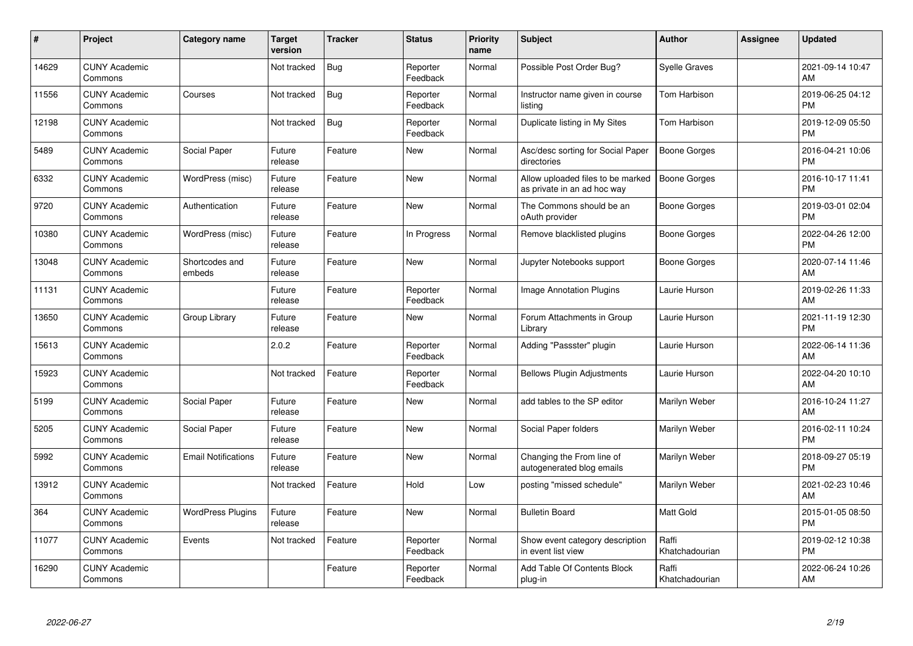| #     | Project                         | <b>Category name</b>       | <b>Target</b><br>version | <b>Tracker</b> | <b>Status</b>        | <b>Priority</b><br>name | <b>Subject</b>                                                   | <b>Author</b>           | <b>Assignee</b> | <b>Updated</b>                |
|-------|---------------------------------|----------------------------|--------------------------|----------------|----------------------|-------------------------|------------------------------------------------------------------|-------------------------|-----------------|-------------------------------|
| 14629 | <b>CUNY Academic</b><br>Commons |                            | Not tracked              | Bug            | Reporter<br>Feedback | Normal                  | Possible Post Order Bug?                                         | <b>Syelle Graves</b>    |                 | 2021-09-14 10:47<br>AM        |
| 11556 | <b>CUNY Academic</b><br>Commons | Courses                    | Not tracked              | Bug            | Reporter<br>Feedback | Normal                  | Instructor name given in course<br>listing                       | Tom Harbison            |                 | 2019-06-25 04:12<br><b>PM</b> |
| 12198 | <b>CUNY Academic</b><br>Commons |                            | Not tracked              | Bug            | Reporter<br>Feedback | Normal                  | Duplicate listing in My Sites                                    | Tom Harbison            |                 | 2019-12-09 05:50<br><b>PM</b> |
| 5489  | <b>CUNY Academic</b><br>Commons | Social Paper               | Future<br>release        | Feature        | New                  | Normal                  | Asc/desc sorting for Social Paper<br>directories                 | <b>Boone Gorges</b>     |                 | 2016-04-21 10:06<br><b>PM</b> |
| 6332  | <b>CUNY Academic</b><br>Commons | WordPress (misc)           | Future<br>release        | Feature        | <b>New</b>           | Normal                  | Allow uploaded files to be marked<br>as private in an ad hoc way | <b>Boone Gorges</b>     |                 | 2016-10-17 11:41<br><b>PM</b> |
| 9720  | <b>CUNY Academic</b><br>Commons | Authentication             | Future<br>release        | Feature        | <b>New</b>           | Normal                  | The Commons should be an<br>oAuth provider                       | Boone Gorges            |                 | 2019-03-01 02:04<br><b>PM</b> |
| 10380 | <b>CUNY Academic</b><br>Commons | WordPress (misc)           | Future<br>release        | Feature        | In Progress          | Normal                  | Remove blacklisted plugins                                       | <b>Boone Gorges</b>     |                 | 2022-04-26 12:00<br><b>PM</b> |
| 13048 | <b>CUNY Academic</b><br>Commons | Shortcodes and<br>embeds   | Future<br>release        | Feature        | <b>New</b>           | Normal                  | Jupyter Notebooks support                                        | Boone Gorges            |                 | 2020-07-14 11:46<br>AM        |
| 11131 | <b>CUNY Academic</b><br>Commons |                            | Future<br>release        | Feature        | Reporter<br>Feedback | Normal                  | Image Annotation Plugins                                         | Laurie Hurson           |                 | 2019-02-26 11:33<br>AM        |
| 13650 | <b>CUNY Academic</b><br>Commons | Group Library              | Future<br>release        | Feature        | <b>New</b>           | Normal                  | Forum Attachments in Group<br>Library                            | Laurie Hurson           |                 | 2021-11-19 12:30<br><b>PM</b> |
| 15613 | <b>CUNY Academic</b><br>Commons |                            | 2.0.2                    | Feature        | Reporter<br>Feedback | Normal                  | Adding "Passster" plugin                                         | Laurie Hurson           |                 | 2022-06-14 11:36<br>AM        |
| 15923 | <b>CUNY Academic</b><br>Commons |                            | Not tracked              | Feature        | Reporter<br>Feedback | Normal                  | <b>Bellows Plugin Adjustments</b>                                | Laurie Hurson           |                 | 2022-04-20 10:10<br>AM        |
| 5199  | <b>CUNY Academic</b><br>Commons | Social Paper               | Future<br>release        | Feature        | New                  | Normal                  | add tables to the SP editor                                      | Marilyn Weber           |                 | 2016-10-24 11:27<br>AM        |
| 5205  | <b>CUNY Academic</b><br>Commons | Social Paper               | Future<br>release        | Feature        | <b>New</b>           | Normal                  | Social Paper folders                                             | Marilyn Weber           |                 | 2016-02-11 10:24<br><b>PM</b> |
| 5992  | <b>CUNY Academic</b><br>Commons | <b>Email Notifications</b> | Future<br>release        | Feature        | <b>New</b>           | Normal                  | Changing the From line of<br>autogenerated blog emails           | Marilyn Weber           |                 | 2018-09-27 05:19<br><b>PM</b> |
| 13912 | <b>CUNY Academic</b><br>Commons |                            | Not tracked              | Feature        | Hold                 | Low                     | posting "missed schedule"                                        | Marilyn Weber           |                 | 2021-02-23 10:46<br>AM        |
| 364   | <b>CUNY Academic</b><br>Commons | <b>WordPress Plugins</b>   | Future<br>release        | Feature        | <b>New</b>           | Normal                  | <b>Bulletin Board</b>                                            | Matt Gold               |                 | 2015-01-05 08:50<br><b>PM</b> |
| 11077 | <b>CUNY Academic</b><br>Commons | Events                     | Not tracked              | Feature        | Reporter<br>Feedback | Normal                  | Show event category description<br>in event list view            | Raffi<br>Khatchadourian |                 | 2019-02-12 10:38<br><b>PM</b> |
| 16290 | <b>CUNY Academic</b><br>Commons |                            |                          | Feature        | Reporter<br>Feedback | Normal                  | Add Table Of Contents Block<br>plug-in                           | Raffi<br>Khatchadourian |                 | 2022-06-24 10:26<br>AM        |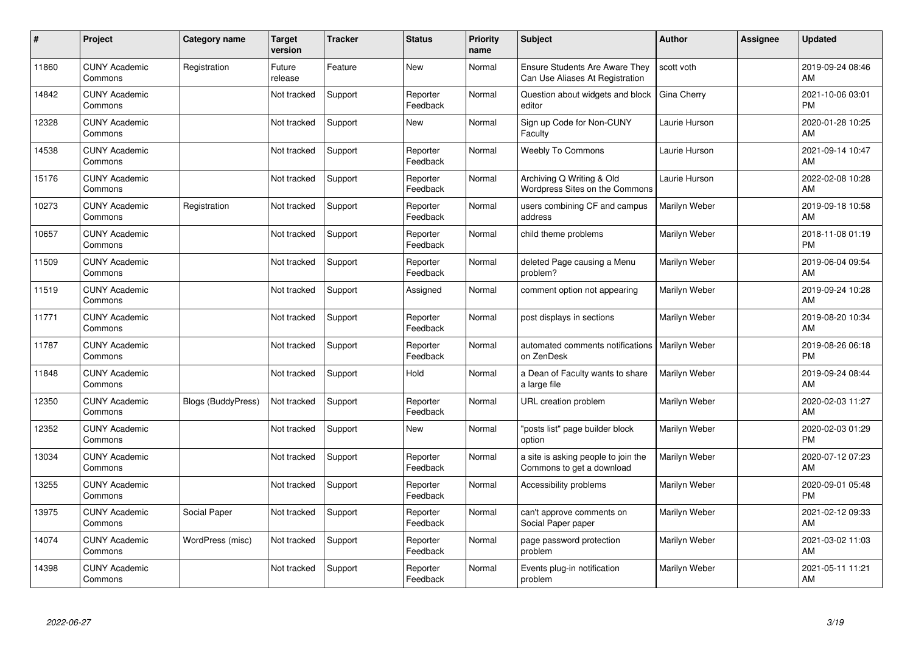| #     | Project                         | <b>Category name</b>      | Target<br>version | <b>Tracker</b> | <b>Status</b>        | <b>Priority</b><br>name | <b>Subject</b>                                                           | <b>Author</b> | <b>Assignee</b> | <b>Updated</b>                |
|-------|---------------------------------|---------------------------|-------------------|----------------|----------------------|-------------------------|--------------------------------------------------------------------------|---------------|-----------------|-------------------------------|
| 11860 | <b>CUNY Academic</b><br>Commons | Registration              | Future<br>release | Feature        | <b>New</b>           | Normal                  | <b>Ensure Students Are Aware They</b><br>Can Use Aliases At Registration | scott voth    |                 | 2019-09-24 08:46<br>AM        |
| 14842 | <b>CUNY Academic</b><br>Commons |                           | Not tracked       | Support        | Reporter<br>Feedback | Normal                  | Question about widgets and block<br>editor                               | Gina Cherry   |                 | 2021-10-06 03:01<br><b>PM</b> |
| 12328 | <b>CUNY Academic</b><br>Commons |                           | Not tracked       | Support        | <b>New</b>           | Normal                  | Sign up Code for Non-CUNY<br>Faculty                                     | Laurie Hurson |                 | 2020-01-28 10:25<br>AM        |
| 14538 | <b>CUNY Academic</b><br>Commons |                           | Not tracked       | Support        | Reporter<br>Feedback | Normal                  | <b>Weebly To Commons</b>                                                 | Laurie Hurson |                 | 2021-09-14 10:47<br>AM        |
| 15176 | <b>CUNY Academic</b><br>Commons |                           | Not tracked       | Support        | Reporter<br>Feedback | Normal                  | Archiving Q Writing & Old<br>Wordpress Sites on the Commons              | Laurie Hurson |                 | 2022-02-08 10:28<br>AM        |
| 10273 | <b>CUNY Academic</b><br>Commons | Registration              | Not tracked       | Support        | Reporter<br>Feedback | Normal                  | users combining CF and campus<br>address                                 | Marilyn Weber |                 | 2019-09-18 10:58<br>AM        |
| 10657 | <b>CUNY Academic</b><br>Commons |                           | Not tracked       | Support        | Reporter<br>Feedback | Normal                  | child theme problems                                                     | Marilyn Weber |                 | 2018-11-08 01:19<br><b>PM</b> |
| 11509 | <b>CUNY Academic</b><br>Commons |                           | Not tracked       | Support        | Reporter<br>Feedback | Normal                  | deleted Page causing a Menu<br>problem?                                  | Marilyn Weber |                 | 2019-06-04 09:54<br>AM        |
| 11519 | <b>CUNY Academic</b><br>Commons |                           | Not tracked       | Support        | Assigned             | Normal                  | comment option not appearing                                             | Marilyn Weber |                 | 2019-09-24 10:28<br>AM        |
| 11771 | <b>CUNY Academic</b><br>Commons |                           | Not tracked       | Support        | Reporter<br>Feedback | Normal                  | post displays in sections                                                | Marilyn Weber |                 | 2019-08-20 10:34<br>AM        |
| 11787 | <b>CUNY Academic</b><br>Commons |                           | Not tracked       | Support        | Reporter<br>Feedback | Normal                  | automated comments notifications<br>on ZenDesk                           | Marilyn Weber |                 | 2019-08-26 06:18<br><b>PM</b> |
| 11848 | <b>CUNY Academic</b><br>Commons |                           | Not tracked       | Support        | Hold                 | Normal                  | a Dean of Faculty wants to share<br>a large file                         | Marilyn Weber |                 | 2019-09-24 08:44<br>AM        |
| 12350 | <b>CUNY Academic</b><br>Commons | <b>Blogs (BuddyPress)</b> | Not tracked       | Support        | Reporter<br>Feedback | Normal                  | URL creation problem                                                     | Marilyn Weber |                 | 2020-02-03 11:27<br>AM        |
| 12352 | <b>CUNY Academic</b><br>Commons |                           | Not tracked       | Support        | <b>New</b>           | Normal                  | 'posts list" page builder block<br>option                                | Marilyn Weber |                 | 2020-02-03 01:29<br><b>PM</b> |
| 13034 | <b>CUNY Academic</b><br>Commons |                           | Not tracked       | Support        | Reporter<br>Feedback | Normal                  | a site is asking people to join the<br>Commons to get a download         | Marilyn Weber |                 | 2020-07-12 07:23<br>AM        |
| 13255 | <b>CUNY Academic</b><br>Commons |                           | Not tracked       | Support        | Reporter<br>Feedback | Normal                  | Accessibility problems                                                   | Marilyn Weber |                 | 2020-09-01 05:48<br><b>PM</b> |
| 13975 | <b>CUNY Academic</b><br>Commons | Social Paper              | Not tracked       | Support        | Reporter<br>Feedback | Normal                  | can't approve comments on<br>Social Paper paper                          | Marilyn Weber |                 | 2021-02-12 09:33<br>AM        |
| 14074 | <b>CUNY Academic</b><br>Commons | WordPress (misc)          | Not tracked       | Support        | Reporter<br>Feedback | Normal                  | page password protection<br>problem                                      | Marilyn Weber |                 | 2021-03-02 11:03<br>AM        |
| 14398 | <b>CUNY Academic</b><br>Commons |                           | Not tracked       | Support        | Reporter<br>Feedback | Normal                  | Events plug-in notification<br>problem                                   | Marilyn Weber |                 | 2021-05-11 11:21<br>AM        |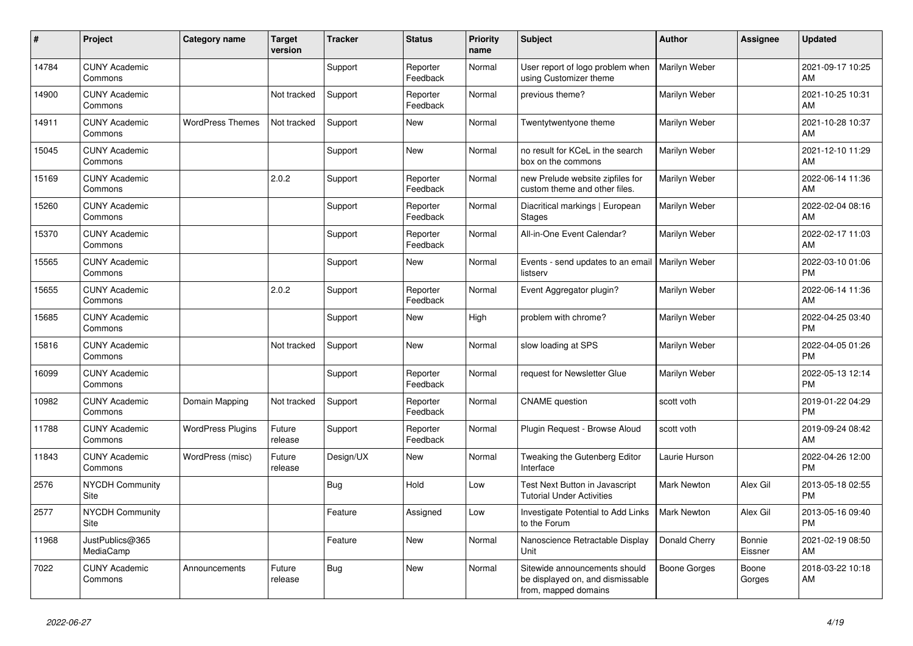| ∦     | Project                         | <b>Category name</b>     | <b>Target</b><br>version | <b>Tracker</b> | <b>Status</b>        | <b>Priority</b><br>name | <b>Subject</b>                                                                            | <b>Author</b>       | <b>Assignee</b>   | <b>Updated</b>                |
|-------|---------------------------------|--------------------------|--------------------------|----------------|----------------------|-------------------------|-------------------------------------------------------------------------------------------|---------------------|-------------------|-------------------------------|
| 14784 | <b>CUNY Academic</b><br>Commons |                          |                          | Support        | Reporter<br>Feedback | Normal                  | User report of logo problem when<br>using Customizer theme                                | Marilyn Weber       |                   | 2021-09-17 10:25<br>AM        |
| 14900 | <b>CUNY Academic</b><br>Commons |                          | Not tracked              | Support        | Reporter<br>Feedback | Normal                  | previous theme?                                                                           | Marilyn Weber       |                   | 2021-10-25 10:31<br>AM        |
| 14911 | <b>CUNY Academic</b><br>Commons | <b>WordPress Themes</b>  | Not tracked              | Support        | New                  | Normal                  | Twentytwentyone theme                                                                     | Marilyn Weber       |                   | 2021-10-28 10:37<br>AM        |
| 15045 | <b>CUNY Academic</b><br>Commons |                          |                          | Support        | <b>New</b>           | Normal                  | no result for KCeL in the search<br>box on the commons                                    | Marilyn Weber       |                   | 2021-12-10 11:29<br>AM        |
| 15169 | <b>CUNY Academic</b><br>Commons |                          | 2.0.2                    | Support        | Reporter<br>Feedback | Normal                  | new Prelude website zipfiles for<br>custom theme and other files.                         | Marilyn Weber       |                   | 2022-06-14 11:36<br>AM        |
| 15260 | <b>CUNY Academic</b><br>Commons |                          |                          | Support        | Reporter<br>Feedback | Normal                  | Diacritical markings   European<br><b>Stages</b>                                          | Marilyn Weber       |                   | 2022-02-04 08:16<br>AM        |
| 15370 | <b>CUNY Academic</b><br>Commons |                          |                          | Support        | Reporter<br>Feedback | Normal                  | All-in-One Event Calendar?                                                                | Marilyn Weber       |                   | 2022-02-17 11:03<br>AM        |
| 15565 | <b>CUNY Academic</b><br>Commons |                          |                          | Support        | <b>New</b>           | Normal                  | Events - send updates to an email<br>listserv                                             | Marilyn Weber       |                   | 2022-03-10 01:06<br><b>PM</b> |
| 15655 | <b>CUNY Academic</b><br>Commons |                          | 2.0.2                    | Support        | Reporter<br>Feedback | Normal                  | Event Aggregator plugin?                                                                  | Marilyn Weber       |                   | 2022-06-14 11:36<br>AM        |
| 15685 | <b>CUNY Academic</b><br>Commons |                          |                          | Support        | <b>New</b>           | High                    | problem with chrome?                                                                      | Marilyn Weber       |                   | 2022-04-25 03:40<br>PM        |
| 15816 | <b>CUNY Academic</b><br>Commons |                          | Not tracked              | Support        | <b>New</b>           | Normal                  | slow loading at SPS                                                                       | Marilyn Weber       |                   | 2022-04-05 01:26<br>PM        |
| 16099 | <b>CUNY Academic</b><br>Commons |                          |                          | Support        | Reporter<br>Feedback | Normal                  | request for Newsletter Glue                                                               | Marilyn Weber       |                   | 2022-05-13 12:14<br><b>PM</b> |
| 10982 | <b>CUNY Academic</b><br>Commons | Domain Mapping           | Not tracked              | Support        | Reporter<br>Feedback | Normal                  | <b>CNAME</b> question                                                                     | scott voth          |                   | 2019-01-22 04:29<br><b>PM</b> |
| 11788 | <b>CUNY Academic</b><br>Commons | <b>WordPress Plugins</b> | Future<br>release        | Support        | Reporter<br>Feedback | Normal                  | Plugin Request - Browse Aloud                                                             | scott voth          |                   | 2019-09-24 08:42<br>AM        |
| 11843 | <b>CUNY Academic</b><br>Commons | WordPress (misc)         | Future<br>release        | Design/UX      | New                  | Normal                  | Tweaking the Gutenberg Editor<br>Interface                                                | Laurie Hurson       |                   | 2022-04-26 12:00<br><b>PM</b> |
| 2576  | <b>NYCDH Community</b><br>Site  |                          |                          | <b>Bug</b>     | Hold                 | Low                     | Test Next Button in Javascript<br><b>Tutorial Under Activities</b>                        | <b>Mark Newton</b>  | Alex Gil          | 2013-05-18 02:55<br>PM        |
| 2577  | <b>NYCDH Community</b><br>Site  |                          |                          | Feature        | Assigned             | Low                     | Investigate Potential to Add Links<br>to the Forum                                        | <b>Mark Newton</b>  | Alex Gil          | 2013-05-16 09:40<br><b>PM</b> |
| 11968 | JustPublics@365<br>MediaCamp    |                          |                          | Feature        | <b>New</b>           | Normal                  | Nanoscience Retractable Display<br>Unit                                                   | Donald Cherry       | Bonnie<br>Eissner | 2021-02-19 08:50<br>AM        |
| 7022  | <b>CUNY Academic</b><br>Commons | Announcements            | Future<br>release        | <b>Bug</b>     | <b>New</b>           | Normal                  | Sitewide announcements should<br>be displayed on, and dismissable<br>from, mapped domains | <b>Boone Gorges</b> | Boone<br>Gorges   | 2018-03-22 10:18<br>AM        |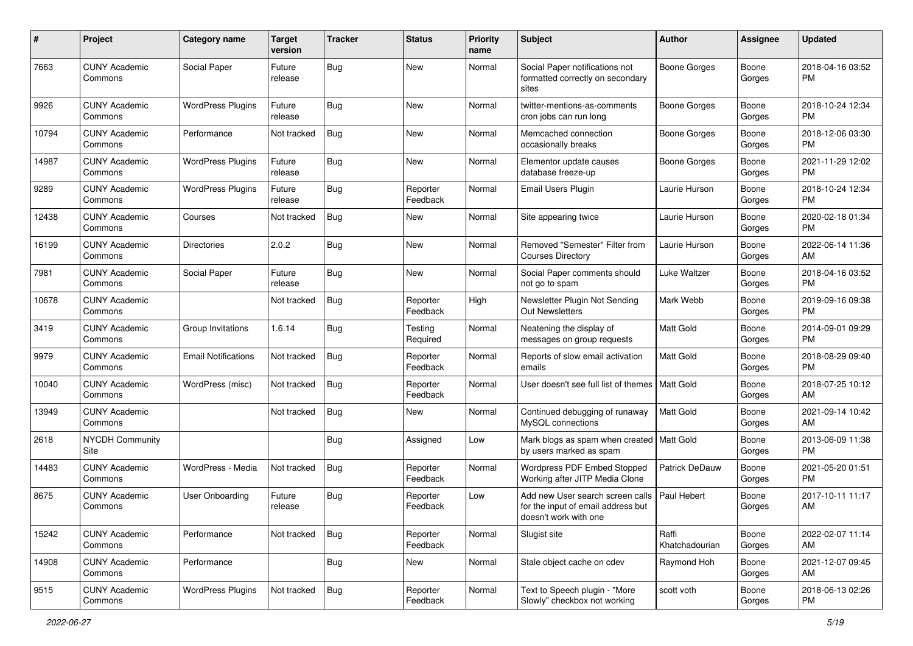| #     | Project                         | <b>Category name</b>       | <b>Target</b><br>version | <b>Tracker</b> | <b>Status</b>        | <b>Priority</b><br>name | Subject                                                                                         | Author                  | <b>Assignee</b> | <b>Updated</b>                |
|-------|---------------------------------|----------------------------|--------------------------|----------------|----------------------|-------------------------|-------------------------------------------------------------------------------------------------|-------------------------|-----------------|-------------------------------|
| 7663  | <b>CUNY Academic</b><br>Commons | Social Paper               | Future<br>release        | Bug            | New                  | Normal                  | Social Paper notifications not<br>formatted correctly on secondary<br>sites                     | Boone Gorges            | Boone<br>Gorges | 2018-04-16 03:52<br><b>PM</b> |
| 9926  | <b>CUNY Academic</b><br>Commons | <b>WordPress Plugins</b>   | Future<br>release        | <b>Bug</b>     | New                  | Normal                  | twitter-mentions-as-comments<br>cron jobs can run long                                          | <b>Boone Gorges</b>     | Boone<br>Gorges | 2018-10-24 12:34<br><b>PM</b> |
| 10794 | <b>CUNY Academic</b><br>Commons | Performance                | Not tracked              | Bug            | New                  | Normal                  | Memcached connection<br>occasionally breaks                                                     | <b>Boone Gorges</b>     | Boone<br>Gorges | 2018-12-06 03:30<br><b>PM</b> |
| 14987 | <b>CUNY Academic</b><br>Commons | <b>WordPress Plugins</b>   | Future<br>release        | Bug            | New                  | Normal                  | Elementor update causes<br>database freeze-up                                                   | <b>Boone Gorges</b>     | Boone<br>Gorges | 2021-11-29 12:02<br><b>PM</b> |
| 9289  | <b>CUNY Academic</b><br>Commons | <b>WordPress Plugins</b>   | Future<br>release        | Bug            | Reporter<br>Feedback | Normal                  | Email Users Plugin                                                                              | Laurie Hurson           | Boone<br>Gorges | 2018-10-24 12:34<br><b>PM</b> |
| 12438 | <b>CUNY Academic</b><br>Commons | Courses                    | Not tracked              | <b>Bug</b>     | New                  | Normal                  | Site appearing twice                                                                            | Laurie Hurson           | Boone<br>Gorges | 2020-02-18 01:34<br><b>PM</b> |
| 16199 | <b>CUNY Academic</b><br>Commons | <b>Directories</b>         | 2.0.2                    | Bug            | New                  | Normal                  | Removed "Semester" Filter from<br><b>Courses Directory</b>                                      | Laurie Hurson           | Boone<br>Gorges | 2022-06-14 11:36<br>AM        |
| 7981  | <b>CUNY Academic</b><br>Commons | Social Paper               | Future<br>release        | <b>Bug</b>     | New                  | Normal                  | Social Paper comments should<br>not go to spam                                                  | Luke Waltzer            | Boone<br>Gorges | 2018-04-16 03:52<br><b>PM</b> |
| 10678 | <b>CUNY Academic</b><br>Commons |                            | Not tracked              | Bug            | Reporter<br>Feedback | High                    | Newsletter Plugin Not Sending<br><b>Out Newsletters</b>                                         | Mark Webb               | Boone<br>Gorges | 2019-09-16 09:38<br><b>PM</b> |
| 3419  | <b>CUNY Academic</b><br>Commons | Group Invitations          | 1.6.14                   | <b>Bug</b>     | Testing<br>Required  | Normal                  | Neatening the display of<br>messages on group requests                                          | <b>Matt Gold</b>        | Boone<br>Gorges | 2014-09-01 09:29<br><b>PM</b> |
| 9979  | <b>CUNY Academic</b><br>Commons | <b>Email Notifications</b> | Not tracked              | <b>Bug</b>     | Reporter<br>Feedback | Normal                  | Reports of slow email activation<br>emails                                                      | <b>Matt Gold</b>        | Boone<br>Gorges | 2018-08-29 09:40<br><b>PM</b> |
| 10040 | <b>CUNY Academic</b><br>Commons | WordPress (misc)           | Not tracked              | Bug            | Reporter<br>Feedback | Normal                  | User doesn't see full list of themes   Matt Gold                                                |                         | Boone<br>Gorges | 2018-07-25 10:12<br>AM        |
| 13949 | <b>CUNY Academic</b><br>Commons |                            | Not tracked              | <b>Bug</b>     | New                  | Normal                  | Continued debugging of runaway<br>MySQL connections                                             | Matt Gold               | Boone<br>Gorges | 2021-09-14 10:42<br>AM        |
| 2618  | NYCDH Community<br>Site         |                            |                          | Bug            | Assigned             | Low                     | Mark blogs as spam when created   Matt Gold<br>by users marked as spam                          |                         | Boone<br>Gorges | 2013-06-09 11:38<br><b>PM</b> |
| 14483 | <b>CUNY Academic</b><br>Commons | WordPress - Media          | Not tracked              | <b>Bug</b>     | Reporter<br>Feedback | Normal                  | Wordpress PDF Embed Stopped<br>Working after JITP Media Clone                                   | Patrick DeDauw          | Boone<br>Gorges | 2021-05-20 01:51<br><b>PM</b> |
| 8675  | <b>CUNY Academic</b><br>Commons | User Onboarding            | Future<br>release        | <b>Bug</b>     | Reporter<br>Feedback | Low                     | Add new User search screen calls<br>for the input of email address but<br>doesn't work with one | Paul Hebert             | Boone<br>Gorges | 2017-10-11 11:17<br>AM        |
| 15242 | <b>CUNY Academic</b><br>Commons | Performance                | Not tracked              | <b>Bug</b>     | Reporter<br>Feedback | Normal                  | Slugist site                                                                                    | Raffi<br>Khatchadourian | Boone<br>Gorges | 2022-02-07 11:14<br>AM        |
| 14908 | <b>CUNY Academic</b><br>Commons | Performance                |                          | <b>Bug</b>     | New                  | Normal                  | Stale object cache on cdev                                                                      | Raymond Hoh             | Boone<br>Gorges | 2021-12-07 09:45<br>AM        |
| 9515  | <b>CUNY Academic</b><br>Commons | <b>WordPress Plugins</b>   | Not tracked              | <b>Bug</b>     | Reporter<br>Feedback | Normal                  | Text to Speech plugin - "More<br>Slowly" checkbox not working                                   | scott voth              | Boone<br>Gorges | 2018-06-13 02:26<br><b>PM</b> |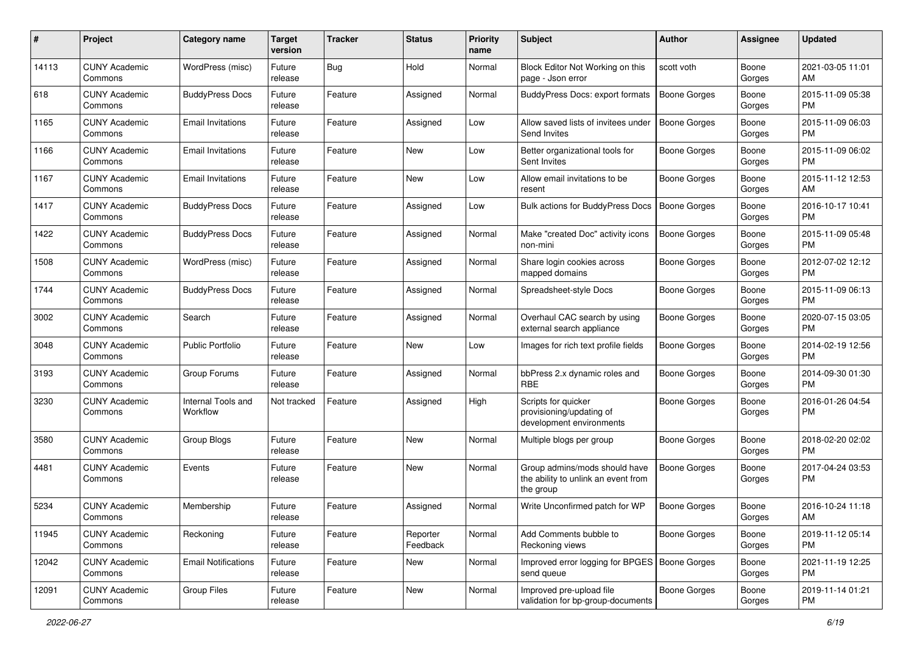| #     | Project                         | <b>Category name</b>           | <b>Target</b><br>version | <b>Tracker</b> | <b>Status</b>        | <b>Priority</b><br>name | Subject                                                                           | Author              | <b>Assignee</b> | <b>Updated</b>                |
|-------|---------------------------------|--------------------------------|--------------------------|----------------|----------------------|-------------------------|-----------------------------------------------------------------------------------|---------------------|-----------------|-------------------------------|
| 14113 | <b>CUNY Academic</b><br>Commons | WordPress (misc)               | Future<br>release        | Bug            | Hold                 | Normal                  | Block Editor Not Working on this<br>page - Json error                             | scott voth          | Boone<br>Gorges | 2021-03-05 11:01<br>AM        |
| 618   | <b>CUNY Academic</b><br>Commons | <b>BuddyPress Docs</b>         | Future<br>release        | Feature        | Assigned             | Normal                  | BuddyPress Docs: export formats                                                   | <b>Boone Gorges</b> | Boone<br>Gorges | 2015-11-09 05:38<br><b>PM</b> |
| 1165  | CUNY Academic<br>Commons        | <b>Email Invitations</b>       | Future<br>release        | Feature        | Assigned             | Low                     | Allow saved lists of invitees under<br>Send Invites                               | <b>Boone Gorges</b> | Boone<br>Gorges | 2015-11-09 06:03<br><b>PM</b> |
| 1166  | <b>CUNY Academic</b><br>Commons | <b>Email Invitations</b>       | Future<br>release        | Feature        | <b>New</b>           | Low                     | Better organizational tools for<br>Sent Invites                                   | Boone Gorges        | Boone<br>Gorges | 2015-11-09 06:02<br><b>PM</b> |
| 1167  | <b>CUNY Academic</b><br>Commons | <b>Email Invitations</b>       | Future<br>release        | Feature        | <b>New</b>           | Low                     | Allow email invitations to be<br>resent                                           | Boone Gorges        | Boone<br>Gorges | 2015-11-12 12:53<br>AM        |
| 1417  | <b>CUNY Academic</b><br>Commons | <b>BuddyPress Docs</b>         | Future<br>release        | Feature        | Assigned             | Low                     | Bulk actions for BuddyPress Docs                                                  | <b>Boone Gorges</b> | Boone<br>Gorges | 2016-10-17 10:41<br><b>PM</b> |
| 1422  | <b>CUNY Academic</b><br>Commons | <b>BuddyPress Docs</b>         | Future<br>release        | Feature        | Assigned             | Normal                  | Make "created Doc" activity icons<br>non-mini                                     | <b>Boone Gorges</b> | Boone<br>Gorges | 2015-11-09 05:48<br><b>PM</b> |
| 1508  | <b>CUNY Academic</b><br>Commons | WordPress (misc)               | Future<br>release        | Feature        | Assigned             | Normal                  | Share login cookies across<br>mapped domains                                      | <b>Boone Gorges</b> | Boone<br>Gorges | 2012-07-02 12:12<br><b>PM</b> |
| 1744  | <b>CUNY Academic</b><br>Commons | <b>BuddyPress Docs</b>         | Future<br>release        | Feature        | Assigned             | Normal                  | Spreadsheet-style Docs                                                            | <b>Boone Gorges</b> | Boone<br>Gorges | 2015-11-09 06:13<br><b>PM</b> |
| 3002  | CUNY Academic<br>Commons        | Search                         | Future<br>release        | Feature        | Assigned             | Normal                  | Overhaul CAC search by using<br>external search appliance                         | Boone Gorges        | Boone<br>Gorges | 2020-07-15 03:05<br><b>PM</b> |
| 3048  | <b>CUNY Academic</b><br>Commons | <b>Public Portfolio</b>        | Future<br>release        | Feature        | <b>New</b>           | Low                     | Images for rich text profile fields                                               | Boone Gorges        | Boone<br>Gorges | 2014-02-19 12:56<br><b>PM</b> |
| 3193  | <b>CUNY Academic</b><br>Commons | Group Forums                   | Future<br>release        | Feature        | Assigned             | Normal                  | bbPress 2.x dynamic roles and<br><b>RBE</b>                                       | Boone Gorges        | Boone<br>Gorges | 2014-09-30 01:30<br><b>PM</b> |
| 3230  | <b>CUNY Academic</b><br>Commons | Internal Tools and<br>Workflow | Not tracked              | Feature        | Assigned             | High                    | Scripts for quicker<br>provisioning/updating of<br>development environments       | <b>Boone Gorges</b> | Boone<br>Gorges | 2016-01-26 04:54<br><b>PM</b> |
| 3580  | <b>CUNY Academic</b><br>Commons | Group Blogs                    | Future<br>release        | Feature        | <b>New</b>           | Normal                  | Multiple blogs per group                                                          | <b>Boone Gorges</b> | Boone<br>Gorges | 2018-02-20 02:02<br><b>PM</b> |
| 4481  | CUNY Academic<br>Commons        | Events                         | Future<br>release        | Feature        | <b>New</b>           | Normal                  | Group admins/mods should have<br>the ability to unlink an event from<br>the group | <b>Boone Gorges</b> | Boone<br>Gorges | 2017-04-24 03:53<br><b>PM</b> |
| 5234  | CUNY Academic<br>Commons        | Membership                     | Future<br>release        | Feature        | Assigned             | Normal                  | Write Unconfirmed patch for WP                                                    | <b>Boone Gorges</b> | Boone<br>Gorges | 2016-10-24 11:18<br>AM        |
| 11945 | <b>CUNY Academic</b><br>Commons | Reckoning                      | Future<br>release        | Feature        | Reporter<br>Feedback | Normal                  | Add Comments bubble to<br>Reckoning views                                         | Boone Gorges        | Boone<br>Gorges | 2019-11-12 05:14<br><b>PM</b> |
| 12042 | <b>CUNY Academic</b><br>Commons | <b>Email Notifications</b>     | Future<br>release        | Feature        | New                  | Normal                  | Improved error logging for BPGES   Boone Gorges<br>send queue                     |                     | Boone<br>Gorges | 2021-11-19 12:25<br><b>PM</b> |
| 12091 | <b>CUNY Academic</b><br>Commons | Group Files                    | Future<br>release        | Feature        | New                  | Normal                  | Improved pre-upload file<br>validation for bp-group-documents                     | <b>Boone Gorges</b> | Boone<br>Gorges | 2019-11-14 01:21<br>PM        |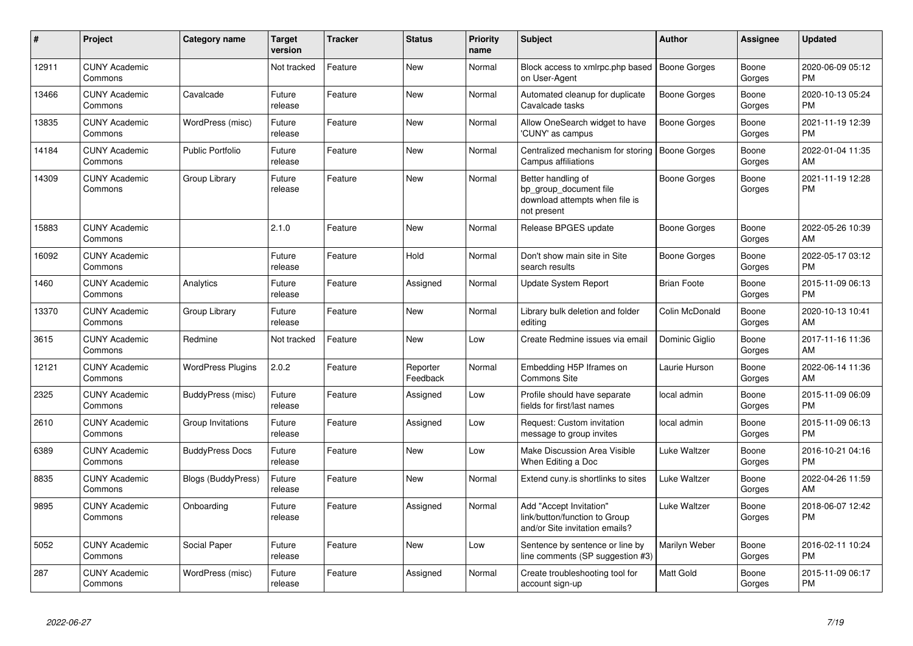| #     | Project                         | <b>Category name</b>      | <b>Target</b><br>version | <b>Tracker</b> | <b>Status</b>        | <b>Priority</b><br>name | <b>Subject</b>                                                                                | <b>Author</b>       | <b>Assignee</b> | <b>Updated</b>                |
|-------|---------------------------------|---------------------------|--------------------------|----------------|----------------------|-------------------------|-----------------------------------------------------------------------------------------------|---------------------|-----------------|-------------------------------|
| 12911 | <b>CUNY Academic</b><br>Commons |                           | Not tracked              | Feature        | <b>New</b>           | Normal                  | Block access to xmlrpc.php based<br>on User-Agent                                             | <b>Boone Gorges</b> | Boone<br>Gorges | 2020-06-09 05:12<br><b>PM</b> |
| 13466 | <b>CUNY Academic</b><br>Commons | Cavalcade                 | Future<br>release        | Feature        | <b>New</b>           | Normal                  | Automated cleanup for duplicate<br>Cavalcade tasks                                            | <b>Boone Gorges</b> | Boone<br>Gorges | 2020-10-13 05:24<br><b>PM</b> |
| 13835 | <b>CUNY Academic</b><br>Commons | WordPress (misc)          | Future<br>release        | Feature        | <b>New</b>           | Normal                  | Allow OneSearch widget to have<br>'CUNY' as campus                                            | Boone Gorges        | Boone<br>Gorges | 2021-11-19 12:39<br><b>PM</b> |
| 14184 | <b>CUNY Academic</b><br>Commons | <b>Public Portfolio</b>   | Future<br>release        | Feature        | <b>New</b>           | Normal                  | Centralized mechanism for storing<br>Campus affiliations                                      | <b>Boone Gorges</b> | Boone<br>Gorges | 2022-01-04 11:35<br>AM        |
| 14309 | <b>CUNY Academic</b><br>Commons | Group Library             | Future<br>release        | Feature        | New                  | Normal                  | Better handling of<br>bp_group_document file<br>download attempts when file is<br>not present | <b>Boone Gorges</b> | Boone<br>Gorges | 2021-11-19 12:28<br><b>PM</b> |
| 15883 | <b>CUNY Academic</b><br>Commons |                           | 2.1.0                    | Feature        | <b>New</b>           | Normal                  | Release BPGES update                                                                          | Boone Gorges        | Boone<br>Gorges | 2022-05-26 10:39<br>AM        |
| 16092 | <b>CUNY Academic</b><br>Commons |                           | Future<br>release        | Feature        | Hold                 | Normal                  | Don't show main site in Site<br>search results                                                | <b>Boone Gorges</b> | Boone<br>Gorges | 2022-05-17 03:12<br><b>PM</b> |
| 1460  | <b>CUNY Academic</b><br>Commons | Analytics                 | Future<br>release        | Feature        | Assigned             | Normal                  | <b>Update System Report</b>                                                                   | <b>Brian Foote</b>  | Boone<br>Gorges | 2015-11-09 06:13<br><b>PM</b> |
| 13370 | <b>CUNY Academic</b><br>Commons | Group Library             | Future<br>release        | Feature        | New                  | Normal                  | Library bulk deletion and folder<br>editing                                                   | Colin McDonald      | Boone<br>Gorges | 2020-10-13 10:41<br>AM        |
| 3615  | <b>CUNY Academic</b><br>Commons | Redmine                   | Not tracked              | Feature        | New                  | Low                     | Create Redmine issues via email                                                               | Dominic Giglio      | Boone<br>Gorges | 2017-11-16 11:36<br>AM        |
| 12121 | <b>CUNY Academic</b><br>Commons | <b>WordPress Plugins</b>  | 2.0.2                    | Feature        | Reporter<br>Feedback | Normal                  | Embedding H5P Iframes on<br><b>Commons Site</b>                                               | Laurie Hurson       | Boone<br>Gorges | 2022-06-14 11:36<br>AM        |
| 2325  | <b>CUNY Academic</b><br>Commons | BuddyPress (misc)         | Future<br>release        | Feature        | Assigned             | Low                     | Profile should have separate<br>fields for first/last names                                   | local admin         | Boone<br>Gorges | 2015-11-09 06:09<br><b>PM</b> |
| 2610  | <b>CUNY Academic</b><br>Commons | Group Invitations         | Future<br>release        | Feature        | Assigned             | Low                     | Request: Custom invitation<br>message to group invites                                        | local admin         | Boone<br>Gorges | 2015-11-09 06:13<br><b>PM</b> |
| 6389  | <b>CUNY Academic</b><br>Commons | <b>BuddyPress Docs</b>    | Future<br>release        | Feature        | <b>New</b>           | Low                     | Make Discussion Area Visible<br>When Editing a Doc                                            | Luke Waltzer        | Boone<br>Gorges | 2016-10-21 04:16<br><b>PM</b> |
| 8835  | <b>CUNY Academic</b><br>Commons | <b>Blogs (BuddyPress)</b> | Future<br>release        | Feature        | <b>New</b>           | Normal                  | Extend cuny is shortlinks to sites                                                            | <b>Luke Waltzer</b> | Boone<br>Gorges | 2022-04-26 11:59<br>AM        |
| 9895  | <b>CUNY Academic</b><br>Commons | Onboarding                | Future<br>release        | Feature        | Assigned             | Normal                  | Add "Accept Invitation"<br>link/button/function to Group<br>and/or Site invitation emails?    | Luke Waltzer        | Boone<br>Gorges | 2018-06-07 12:42<br><b>PM</b> |
| 5052  | <b>CUNY Academic</b><br>Commons | Social Paper              | Future<br>release        | Feature        | <b>New</b>           | Low                     | Sentence by sentence or line by<br>line comments (SP suggestion #3)                           | Marilyn Weber       | Boone<br>Gorges | 2016-02-11 10:24<br><b>PM</b> |
| 287   | <b>CUNY Academic</b><br>Commons | WordPress (misc)          | Future<br>release        | Feature        | Assigned             | Normal                  | Create troubleshooting tool for<br>account sign-up                                            | Matt Gold           | Boone<br>Gorges | 2015-11-09 06:17<br><b>PM</b> |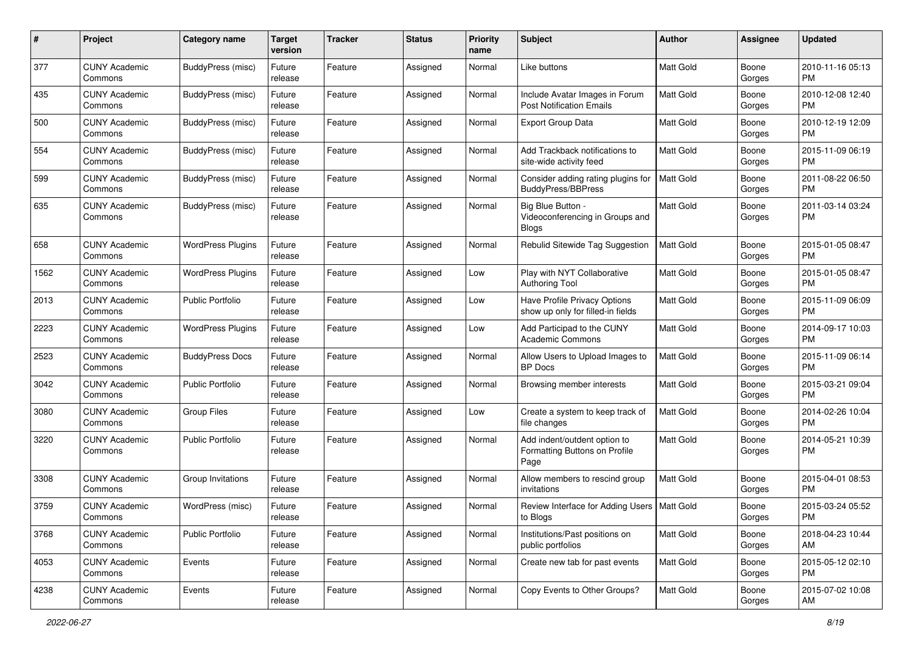| #    | Project                         | <b>Category name</b>     | <b>Target</b><br>version | <b>Tracker</b> | <b>Status</b> | <b>Priority</b><br>name | Subject                                                               | Author           | <b>Assignee</b> | <b>Updated</b>                |
|------|---------------------------------|--------------------------|--------------------------|----------------|---------------|-------------------------|-----------------------------------------------------------------------|------------------|-----------------|-------------------------------|
| 377  | <b>CUNY Academic</b><br>Commons | BuddyPress (misc)        | Future<br>release        | Feature        | Assigned      | Normal                  | Like buttons                                                          | <b>Matt Gold</b> | Boone<br>Gorges | 2010-11-16 05:13<br><b>PM</b> |
| 435  | <b>CUNY Academic</b><br>Commons | BuddyPress (misc)        | Future<br>release        | Feature        | Assigned      | Normal                  | Include Avatar Images in Forum<br><b>Post Notification Emails</b>     | Matt Gold        | Boone<br>Gorges | 2010-12-08 12:40<br><b>PM</b> |
| 500  | CUNY Academic<br>Commons        | BuddyPress (misc)        | Future<br>release        | Feature        | Assigned      | Normal                  | <b>Export Group Data</b>                                              | Matt Gold        | Boone<br>Gorges | 2010-12-19 12:09<br><b>PM</b> |
| 554  | <b>CUNY Academic</b><br>Commons | BuddyPress (misc)        | Future<br>release        | Feature        | Assigned      | Normal                  | Add Trackback notifications to<br>site-wide activity feed             | <b>Matt Gold</b> | Boone<br>Gorges | 2015-11-09 06:19<br><b>PM</b> |
| 599  | CUNY Academic<br>Commons        | BuddyPress (misc)        | Future<br>release        | Feature        | Assigned      | Normal                  | Consider adding rating plugins for<br>BuddyPress/BBPress              | Matt Gold        | Boone<br>Gorges | 2011-08-22 06:50<br><b>PM</b> |
| 635  | <b>CUNY Academic</b><br>Commons | BuddyPress (misc)        | Future<br>release        | Feature        | Assigned      | Normal                  | Big Blue Button -<br>Videoconferencing in Groups and<br><b>Blogs</b>  | Matt Gold        | Boone<br>Gorges | 2011-03-14 03:24<br><b>PM</b> |
| 658  | <b>CUNY Academic</b><br>Commons | <b>WordPress Plugins</b> | Future<br>release        | Feature        | Assigned      | Normal                  | Rebulid Sitewide Tag Suggestion                                       | <b>Matt Gold</b> | Boone<br>Gorges | 2015-01-05 08:47<br><b>PM</b> |
| 1562 | <b>CUNY Academic</b><br>Commons | <b>WordPress Plugins</b> | Future<br>release        | Feature        | Assigned      | Low                     | Play with NYT Collaborative<br><b>Authoring Tool</b>                  | Matt Gold        | Boone<br>Gorges | 2015-01-05 08:47<br><b>PM</b> |
| 2013 | <b>CUNY Academic</b><br>Commons | <b>Public Portfolio</b>  | Future<br>release        | Feature        | Assigned      | Low                     | Have Profile Privacy Options<br>show up only for filled-in fields     | <b>Matt Gold</b> | Boone<br>Gorges | 2015-11-09 06:09<br><b>PM</b> |
| 2223 | <b>CUNY Academic</b><br>Commons | <b>WordPress Plugins</b> | Future<br>release        | Feature        | Assigned      | Low                     | Add Participad to the CUNY<br><b>Academic Commons</b>                 | Matt Gold        | Boone<br>Gorges | 2014-09-17 10:03<br><b>PM</b> |
| 2523 | CUNY Academic<br>Commons        | <b>BuddyPress Docs</b>   | Future<br>release        | Feature        | Assigned      | Normal                  | Allow Users to Upload Images to<br><b>BP</b> Docs                     | Matt Gold        | Boone<br>Gorges | 2015-11-09 06:14<br><b>PM</b> |
| 3042 | <b>CUNY Academic</b><br>Commons | <b>Public Portfolio</b>  | Future<br>release        | Feature        | Assigned      | Normal                  | Browsing member interests                                             | Matt Gold        | Boone<br>Gorges | 2015-03-21 09:04<br><b>PM</b> |
| 3080 | CUNY Academic<br>Commons        | <b>Group Files</b>       | Future<br>release        | Feature        | Assigned      | Low                     | Create a system to keep track of<br>file changes                      | <b>Matt Gold</b> | Boone<br>Gorges | 2014-02-26 10:04<br><b>PM</b> |
| 3220 | <b>CUNY Academic</b><br>Commons | <b>Public Portfolio</b>  | Future<br>release        | Feature        | Assigned      | Normal                  | Add indent/outdent option to<br>Formatting Buttons on Profile<br>Page | Matt Gold        | Boone<br>Gorges | 2014-05-21 10:39<br><b>PM</b> |
| 3308 | <b>CUNY Academic</b><br>Commons | Group Invitations        | Future<br>release        | Feature        | Assigned      | Normal                  | Allow members to rescind group<br>invitations                         | Matt Gold        | Boone<br>Gorges | 2015-04-01 08:53<br><b>PM</b> |
| 3759 | CUNY Academic<br>Commons        | WordPress (misc)         | Future<br>release        | Feature        | Assigned      | Normal                  | Review Interface for Adding Users   Matt Gold<br>to Blogs             |                  | Boone<br>Gorges | 2015-03-24 05:52<br><b>PM</b> |
| 3768 | <b>CUNY Academic</b><br>Commons | <b>Public Portfolio</b>  | Future<br>release        | Feature        | Assigned      | Normal                  | Institutions/Past positions on<br>public portfolios                   | Matt Gold        | Boone<br>Gorges | 2018-04-23 10:44<br>AM        |
| 4053 | <b>CUNY Academic</b><br>Commons | Events                   | Future<br>release        | Feature        | Assigned      | Normal                  | Create new tab for past events                                        | Matt Gold        | Boone<br>Gorges | 2015-05-12 02:10<br><b>PM</b> |
| 4238 | <b>CUNY Academic</b><br>Commons | Events                   | Future<br>release        | Feature        | Assigned      | Normal                  | Copy Events to Other Groups?                                          | Matt Gold        | Boone<br>Gorges | 2015-07-02 10:08<br>AM        |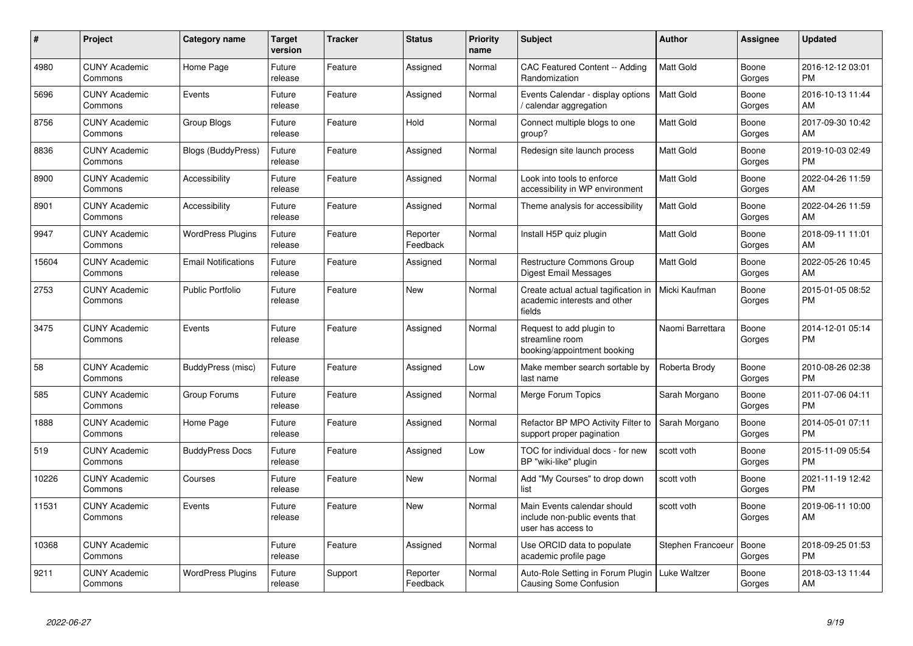| $\pmb{\#}$ | Project                         | <b>Category name</b>       | <b>Target</b><br>version | <b>Tracker</b> | <b>Status</b>        | <b>Priority</b><br>name | <b>Subject</b>                                                                      | Author            | <b>Assignee</b> | <b>Updated</b>                |
|------------|---------------------------------|----------------------------|--------------------------|----------------|----------------------|-------------------------|-------------------------------------------------------------------------------------|-------------------|-----------------|-------------------------------|
| 4980       | <b>CUNY Academic</b><br>Commons | Home Page                  | Future<br>release        | Feature        | Assigned             | Normal                  | CAC Featured Content -- Adding<br>Randomization                                     | <b>Matt Gold</b>  | Boone<br>Gorges | 2016-12-12 03:01<br><b>PM</b> |
| 5696       | <b>CUNY Academic</b><br>Commons | Events                     | Future<br>release        | Feature        | Assigned             | Normal                  | Events Calendar - display options<br>calendar aggregation                           | <b>Matt Gold</b>  | Boone<br>Gorges | 2016-10-13 11:44<br>AM        |
| 8756       | <b>CUNY Academic</b><br>Commons | Group Blogs                | Future<br>release        | Feature        | Hold                 | Normal                  | Connect multiple blogs to one<br>group?                                             | Matt Gold         | Boone<br>Gorges | 2017-09-30 10:42<br>AM        |
| 8836       | <b>CUNY Academic</b><br>Commons | Blogs (BuddyPress)         | Future<br>release        | Feature        | Assigned             | Normal                  | Redesign site launch process                                                        | <b>Matt Gold</b>  | Boone<br>Gorges | 2019-10-03 02:49<br><b>PM</b> |
| 8900       | <b>CUNY Academic</b><br>Commons | Accessibility              | Future<br>release        | Feature        | Assigned             | Normal                  | Look into tools to enforce<br>accessibility in WP environment                       | <b>Matt Gold</b>  | Boone<br>Gorges | 2022-04-26 11:59<br>AM        |
| 8901       | <b>CUNY Academic</b><br>Commons | Accessibility              | Future<br>release        | Feature        | Assigned             | Normal                  | Theme analysis for accessibility                                                    | <b>Matt Gold</b>  | Boone<br>Gorges | 2022-04-26 11:59<br>AM        |
| 9947       | <b>CUNY Academic</b><br>Commons | <b>WordPress Plugins</b>   | Future<br>release        | Feature        | Reporter<br>Feedback | Normal                  | Install H5P quiz plugin                                                             | Matt Gold         | Boone<br>Gorges | 2018-09-11 11:01<br>AM        |
| 15604      | <b>CUNY Academic</b><br>Commons | <b>Email Notifications</b> | Future<br>release        | Feature        | Assigned             | Normal                  | <b>Restructure Commons Group</b><br><b>Digest Email Messages</b>                    | <b>Matt Gold</b>  | Boone<br>Gorges | 2022-05-26 10:45<br>AM        |
| 2753       | <b>CUNY Academic</b><br>Commons | <b>Public Portfolio</b>    | Future<br>release        | Feature        | <b>New</b>           | Normal                  | Create actual actual tagification in<br>academic interests and other<br>fields      | Micki Kaufman     | Boone<br>Gorges | 2015-01-05 08:52<br><b>PM</b> |
| 3475       | <b>CUNY Academic</b><br>Commons | Events                     | Future<br>release        | Feature        | Assigned             | Normal                  | Request to add plugin to<br>streamline room<br>booking/appointment booking          | Naomi Barrettara  | Boone<br>Gorges | 2014-12-01 05:14<br><b>PM</b> |
| 58         | <b>CUNY Academic</b><br>Commons | BuddyPress (misc)          | Future<br>release        | Feature        | Assigned             | Low                     | Make member search sortable by<br>last name                                         | Roberta Brody     | Boone<br>Gorges | 2010-08-26 02:38<br><b>PM</b> |
| 585        | <b>CUNY Academic</b><br>Commons | Group Forums               | Future<br>release        | Feature        | Assigned             | Normal                  | Merge Forum Topics                                                                  | Sarah Morgano     | Boone<br>Gorges | 2011-07-06 04:11<br><b>PM</b> |
| 1888       | <b>CUNY Academic</b><br>Commons | Home Page                  | Future<br>release        | Feature        | Assigned             | Normal                  | Refactor BP MPO Activity Filter to<br>support proper pagination                     | Sarah Morgano     | Boone<br>Gorges | 2014-05-01 07:11<br><b>PM</b> |
| 519        | <b>CUNY Academic</b><br>Commons | <b>BuddyPress Docs</b>     | Future<br>release        | Feature        | Assigned             | Low                     | TOC for individual docs - for new<br>BP "wiki-like" plugin                          | scott voth        | Boone<br>Gorges | 2015-11-09 05:54<br><b>PM</b> |
| 10226      | <b>CUNY Academic</b><br>Commons | Courses                    | Future<br>release        | Feature        | New                  | Normal                  | Add "My Courses" to drop down<br>list                                               | scott voth        | Boone<br>Gorges | 2021-11-19 12:42<br><b>PM</b> |
| 11531      | <b>CUNY Academic</b><br>Commons | Events                     | Future<br>release        | Feature        | New                  | Normal                  | Main Events calendar should<br>include non-public events that<br>user has access to | scott voth        | Boone<br>Gorges | 2019-06-11 10:00<br>AM        |
| 10368      | <b>CUNY Academic</b><br>Commons |                            | Future<br>release        | Feature        | Assigned             | Normal                  | Use ORCID data to populate<br>academic profile page                                 | Stephen Francoeur | Boone<br>Gorges | 2018-09-25 01:53<br><b>PM</b> |
| 9211       | <b>CUNY Academic</b><br>Commons | <b>WordPress Plugins</b>   | Future<br>release        | Support        | Reporter<br>Feedback | Normal                  | Auto-Role Setting in Forum Plugin<br>Causing Some Confusion                         | Luke Waltzer      | Boone<br>Gorges | 2018-03-13 11:44<br>AM        |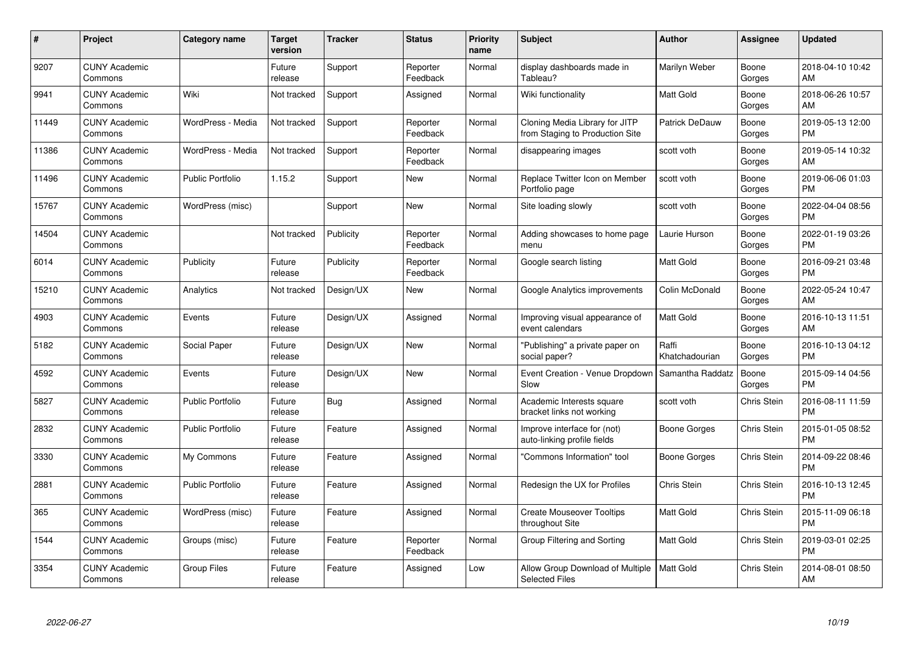| #     | Project                         | <b>Category name</b>    | <b>Target</b><br>version | <b>Tracker</b> | <b>Status</b>        | <b>Priority</b><br>name | <b>Subject</b>                                                    | <b>Author</b>           | <b>Assignee</b> | <b>Updated</b>                |
|-------|---------------------------------|-------------------------|--------------------------|----------------|----------------------|-------------------------|-------------------------------------------------------------------|-------------------------|-----------------|-------------------------------|
| 9207  | <b>CUNY Academic</b><br>Commons |                         | Future<br>release        | Support        | Reporter<br>Feedback | Normal                  | display dashboards made in<br>Tableau?                            | Marilyn Weber           | Boone<br>Gorges | 2018-04-10 10:42<br>AM        |
| 9941  | <b>CUNY Academic</b><br>Commons | Wiki                    | Not tracked              | Support        | Assigned             | Normal                  | Wiki functionality                                                | Matt Gold               | Boone<br>Gorges | 2018-06-26 10:57<br>AM        |
| 11449 | <b>CUNY Academic</b><br>Commons | WordPress - Media       | Not tracked              | Support        | Reporter<br>Feedback | Normal                  | Cloning Media Library for JITP<br>from Staging to Production Site | Patrick DeDauw          | Boone<br>Gorges | 2019-05-13 12:00<br><b>PM</b> |
| 11386 | <b>CUNY Academic</b><br>Commons | WordPress - Media       | Not tracked              | Support        | Reporter<br>Feedback | Normal                  | disappearing images                                               | scott voth              | Boone<br>Gorges | 2019-05-14 10:32<br>AM        |
| 11496 | <b>CUNY Academic</b><br>Commons | <b>Public Portfolio</b> | 1.15.2                   | Support        | <b>New</b>           | Normal                  | Replace Twitter Icon on Member<br>Portfolio page                  | scott voth              | Boone<br>Gorges | 2019-06-06 01:03<br><b>PM</b> |
| 15767 | <b>CUNY Academic</b><br>Commons | WordPress (misc)        |                          | Support        | <b>New</b>           | Normal                  | Site loading slowly                                               | scott voth              | Boone<br>Gorges | 2022-04-04 08:56<br><b>PM</b> |
| 14504 | <b>CUNY Academic</b><br>Commons |                         | Not tracked              | Publicity      | Reporter<br>Feedback | Normal                  | Adding showcases to home page<br>menu                             | Laurie Hurson           | Boone<br>Gorges | 2022-01-19 03:26<br><b>PM</b> |
| 6014  | <b>CUNY Academic</b><br>Commons | Publicity               | Future<br>release        | Publicity      | Reporter<br>Feedback | Normal                  | Google search listing                                             | <b>Matt Gold</b>        | Boone<br>Gorges | 2016-09-21 03:48<br><b>PM</b> |
| 15210 | <b>CUNY Academic</b><br>Commons | Analytics               | Not tracked              | Design/UX      | New                  | Normal                  | Google Analytics improvements                                     | Colin McDonald          | Boone<br>Gorges | 2022-05-24 10:47<br>AM        |
| 4903  | <b>CUNY Academic</b><br>Commons | Events                  | Future<br>release        | Design/UX      | Assigned             | Normal                  | Improving visual appearance of<br>event calendars                 | Matt Gold               | Boone<br>Gorges | 2016-10-13 11:51<br>AM        |
| 5182  | <b>CUNY Academic</b><br>Commons | Social Paper            | Future<br>release        | Design/UX      | <b>New</b>           | Normal                  | "Publishing" a private paper on<br>social paper?                  | Raffi<br>Khatchadourian | Boone<br>Gorges | 2016-10-13 04:12<br><b>PM</b> |
| 4592  | <b>CUNY Academic</b><br>Commons | Events                  | Future<br>release        | Design/UX      | New                  | Normal                  | Event Creation - Venue Dropdown<br>Slow                           | Samantha Raddatz        | Boone<br>Gorges | 2015-09-14 04:56<br><b>PM</b> |
| 5827  | <b>CUNY Academic</b><br>Commons | <b>Public Portfolio</b> | Future<br>release        | Bug            | Assigned             | Normal                  | Academic Interests square<br>bracket links not working            | scott voth              | Chris Stein     | 2016-08-11 11:59<br><b>PM</b> |
| 2832  | <b>CUNY Academic</b><br>Commons | <b>Public Portfolio</b> | Future<br>release        | Feature        | Assigned             | Normal                  | Improve interface for (not)<br>auto-linking profile fields        | Boone Gorges            | Chris Stein     | 2015-01-05 08:52<br><b>PM</b> |
| 3330  | <b>CUNY Academic</b><br>Commons | My Commons              | Future<br>release        | Feature        | Assigned             | Normal                  | "Commons Information" tool                                        | Boone Gorges            | Chris Stein     | 2014-09-22 08:46<br><b>PM</b> |
| 2881  | <b>CUNY Academic</b><br>Commons | <b>Public Portfolio</b> | Future<br>release        | Feature        | Assigned             | Normal                  | Redesign the UX for Profiles                                      | Chris Stein             | Chris Stein     | 2016-10-13 12:45<br><b>PM</b> |
| 365   | <b>CUNY Academic</b><br>Commons | WordPress (misc)        | Future<br>release        | Feature        | Assigned             | Normal                  | <b>Create Mouseover Tooltips</b><br>throughout Site               | <b>Matt Gold</b>        | Chris Stein     | 2015-11-09 06:18<br><b>PM</b> |
| 1544  | <b>CUNY Academic</b><br>Commons | Groups (misc)           | Future<br>release        | Feature        | Reporter<br>Feedback | Normal                  | Group Filtering and Sorting                                       | Matt Gold               | Chris Stein     | 2019-03-01 02:25<br><b>PM</b> |
| 3354  | <b>CUNY Academic</b><br>Commons | Group Files             | Future<br>release        | Feature        | Assigned             | Low                     | Allow Group Download of Multiple<br><b>Selected Files</b>         | <b>Matt Gold</b>        | Chris Stein     | 2014-08-01 08:50<br>AM        |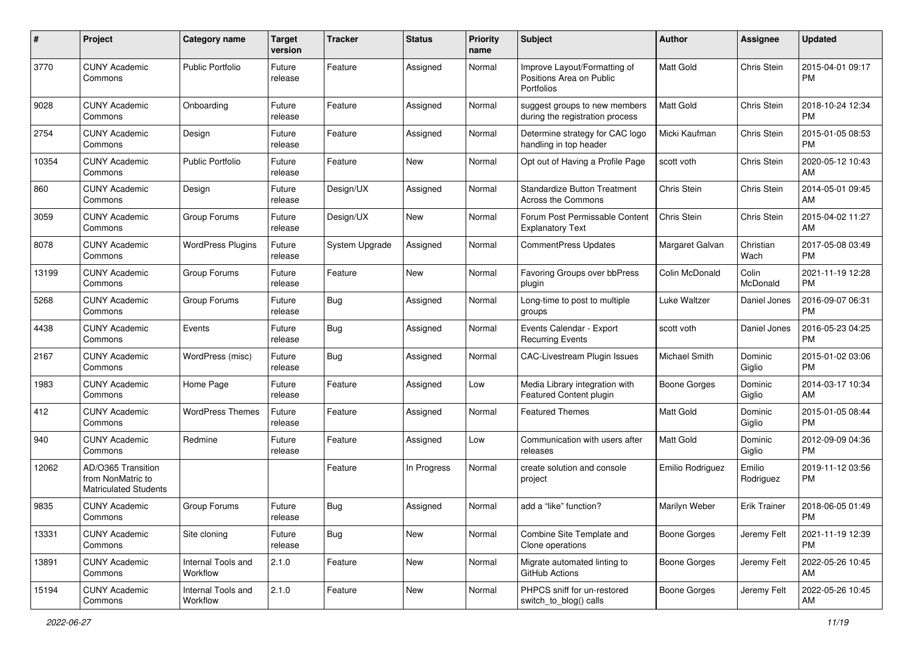| #     | Project                                                                 | <b>Category name</b>           | <b>Target</b><br>version | <b>Tracker</b> | <b>Status</b> | <b>Priority</b><br>name | <b>Subject</b>                                                                | Author              | Assignee            | <b>Updated</b>                |
|-------|-------------------------------------------------------------------------|--------------------------------|--------------------------|----------------|---------------|-------------------------|-------------------------------------------------------------------------------|---------------------|---------------------|-------------------------------|
| 3770  | <b>CUNY Academic</b><br>Commons                                         | <b>Public Portfolio</b>        | Future<br>release        | Feature        | Assigned      | Normal                  | Improve Layout/Formatting of<br>Positions Area on Public<br><b>Portfolios</b> | <b>Matt Gold</b>    | Chris Stein         | 2015-04-01 09:17<br><b>PM</b> |
| 9028  | <b>CUNY Academic</b><br>Commons                                         | Onboarding                     | Future<br>release        | Feature        | Assigned      | Normal                  | suggest groups to new members<br>during the registration process              | <b>Matt Gold</b>    | Chris Stein         | 2018-10-24 12:34<br><b>PM</b> |
| 2754  | <b>CUNY Academic</b><br>Commons                                         | Design                         | Future<br>release        | Feature        | Assigned      | Normal                  | Determine strategy for CAC logo<br>handling in top header                     | Micki Kaufman       | Chris Stein         | 2015-01-05 08:53<br><b>PM</b> |
| 10354 | <b>CUNY Academic</b><br>Commons                                         | <b>Public Portfolio</b>        | Future<br>release        | Feature        | New           | Normal                  | Opt out of Having a Profile Page                                              | scott voth          | Chris Stein         | 2020-05-12 10:43<br>AM        |
| 860   | <b>CUNY Academic</b><br>Commons                                         | Design                         | Future<br>release        | Design/UX      | Assigned      | Normal                  | <b>Standardize Button Treatment</b><br>Across the Commons                     | <b>Chris Stein</b>  | Chris Stein         | 2014-05-01 09:45<br>AM        |
| 3059  | <b>CUNY Academic</b><br>Commons                                         | Group Forums                   | Future<br>release        | Design/UX      | <b>New</b>    | Normal                  | Forum Post Permissable Content<br><b>Explanatory Text</b>                     | Chris Stein         | Chris Stein         | 2015-04-02 11:27<br>AM        |
| 8078  | <b>CUNY Academic</b><br>Commons                                         | <b>WordPress Plugins</b>       | Future<br>release        | System Upgrade | Assigned      | Normal                  | <b>CommentPress Updates</b>                                                   | Margaret Galvan     | Christian<br>Wach   | 2017-05-08 03:49<br><b>PM</b> |
| 13199 | <b>CUNY Academic</b><br>Commons                                         | Group Forums                   | Future<br>release        | Feature        | New           | Normal                  | Favoring Groups over bbPress<br>plugin                                        | Colin McDonald      | Colin<br>McDonald   | 2021-11-19 12:28<br><b>PM</b> |
| 5268  | <b>CUNY Academic</b><br>Commons                                         | Group Forums                   | Future<br>release        | <b>Bug</b>     | Assigned      | Normal                  | Long-time to post to multiple<br>groups                                       | Luke Waltzer        | Daniel Jones        | 2016-09-07 06:31<br>PM        |
| 4438  | <b>CUNY Academic</b><br>Commons                                         | Events                         | Future<br>release        | <b>Bug</b>     | Assigned      | Normal                  | Events Calendar - Export<br><b>Recurring Events</b>                           | scott voth          | Daniel Jones        | 2016-05-23 04:25<br><b>PM</b> |
| 2167  | <b>CUNY Academic</b><br>Commons                                         | WordPress (misc)               | Future<br>release        | Bug            | Assigned      | Normal                  | <b>CAC-Livestream Plugin Issues</b>                                           | Michael Smith       | Dominic<br>Giglio   | 2015-01-02 03:06<br><b>PM</b> |
| 1983  | <b>CUNY Academic</b><br>Commons                                         | Home Page                      | Future<br>release        | Feature        | Assigned      | Low                     | Media Library integration with<br>Featured Content plugin                     | Boone Gorges        | Dominic<br>Giglio   | 2014-03-17 10:34<br>AM        |
| 412   | <b>CUNY Academic</b><br>Commons                                         | <b>WordPress Themes</b>        | Future<br>release        | Feature        | Assigned      | Normal                  | <b>Featured Themes</b>                                                        | <b>Matt Gold</b>    | Dominic<br>Giglio   | 2015-01-05 08:44<br><b>PM</b> |
| 940   | <b>CUNY Academic</b><br>Commons                                         | Redmine                        | Future<br>release        | Feature        | Assigned      | Low                     | Communication with users after<br>releases                                    | <b>Matt Gold</b>    | Dominic<br>Giglio   | 2012-09-09 04:36<br><b>PM</b> |
| 12062 | AD/O365 Transition<br>from NonMatric to<br><b>Matriculated Students</b> |                                |                          | Feature        | In Progress   | Normal                  | create solution and console<br>project                                        | Emilio Rodriguez    | Emilio<br>Rodriguez | 2019-11-12 03:56<br><b>PM</b> |
| 9835  | <b>CUNY Academic</b><br>Commons                                         | Group Forums                   | Future<br>reiease        | Bug            | Assigned      | Normal                  | add a "like" function?                                                        | Marilyn Weber       | Erik Trainer        | 2018-06-05 01:49<br>PM        |
| 13331 | <b>CUNY Academic</b><br>Commons                                         | Site cloning                   | Future<br>release        | Bug            | New           | Normal                  | Combine Site Template and<br>Clone operations                                 | Boone Gorges        | Jeremy Felt         | 2021-11-19 12:39<br><b>PM</b> |
| 13891 | <b>CUNY Academic</b><br>Commons                                         | Internal Tools and<br>Workflow | 2.1.0                    | Feature        | New           | Normal                  | Migrate automated linting to<br><b>GitHub Actions</b>                         | Boone Gorges        | Jeremy Felt         | 2022-05-26 10:45<br>AM        |
| 15194 | <b>CUNY Academic</b><br>Commons                                         | Internal Tools and<br>Workflow | 2.1.0                    | Feature        | New           | Normal                  | PHPCS sniff for un-restored<br>switch_to_blog() calls                         | <b>Boone Gorges</b> | Jeremy Felt         | 2022-05-26 10:45<br>AM        |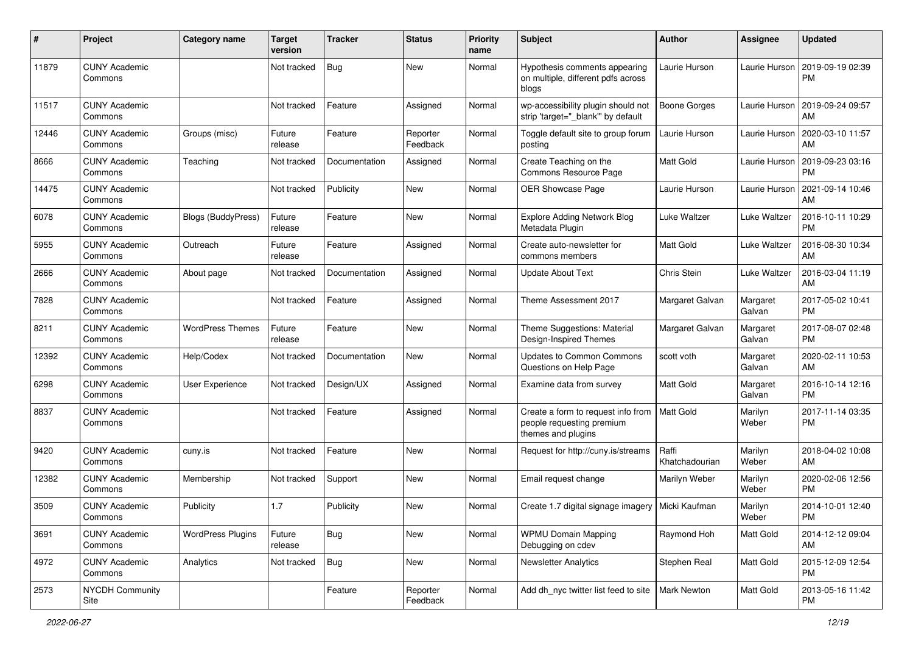| #     | Project                         | <b>Category name</b>      | <b>Target</b><br>version | <b>Tracker</b> | <b>Status</b>        | <b>Priority</b><br>name | Subject                                                                                           | Author                  | <b>Assignee</b>    | <b>Updated</b>                |
|-------|---------------------------------|---------------------------|--------------------------|----------------|----------------------|-------------------------|---------------------------------------------------------------------------------------------------|-------------------------|--------------------|-------------------------------|
| 11879 | <b>CUNY Academic</b><br>Commons |                           | Not tracked              | <b>Bug</b>     | New                  | Normal                  | Hypothesis comments appearing<br>on multiple, different pdfs across<br>blogs                      | Laurie Hurson           | Laurie Hurson      | 2019-09-19 02:39<br><b>PM</b> |
| 11517 | <b>CUNY Academic</b><br>Commons |                           | Not tracked              | Feature        | Assigned             | Normal                  | wp-accessibility plugin should not<br>strip 'target="_blank" by default                           | <b>Boone Gorges</b>     | Laurie Hurson      | 2019-09-24 09:57<br>AM        |
| 12446 | <b>CUNY Academic</b><br>Commons | Groups (misc)             | Future<br>release        | Feature        | Reporter<br>Feedback | Normal                  | Toggle default site to group forum<br>posting                                                     | Laurie Hurson           | Laurie Hurson      | 2020-03-10 11:57<br>AM        |
| 8666  | <b>CUNY Academic</b><br>Commons | Teaching                  | Not tracked              | Documentation  | Assigned             | Normal                  | Create Teaching on the<br>Commons Resource Page                                                   | <b>Matt Gold</b>        | Laurie Hurson      | 2019-09-23 03:16<br><b>PM</b> |
| 14475 | <b>CUNY Academic</b><br>Commons |                           | Not tracked              | Publicity      | New                  | Normal                  | <b>OER Showcase Page</b>                                                                          | Laurie Hurson           | Laurie Hurson      | 2021-09-14 10:46<br>AM        |
| 6078  | <b>CUNY Academic</b><br>Commons | <b>Blogs (BuddyPress)</b> | Future<br>release        | Feature        | New                  | Normal                  | <b>Explore Adding Network Blog</b><br>Metadata Plugin                                             | Luke Waltzer            | Luke Waltzer       | 2016-10-11 10:29<br><b>PM</b> |
| 5955  | <b>CUNY Academic</b><br>Commons | Outreach                  | Future<br>release        | Feature        | Assigned             | Normal                  | Create auto-newsletter for<br>commons members                                                     | <b>Matt Gold</b>        | Luke Waltzer       | 2016-08-30 10:34<br>AM        |
| 2666  | <b>CUNY Academic</b><br>Commons | About page                | Not tracked              | Documentation  | Assigned             | Normal                  | <b>Update About Text</b>                                                                          | Chris Stein             | Luke Waltzer       | 2016-03-04 11:19<br>AM        |
| 7828  | <b>CUNY Academic</b><br>Commons |                           | Not tracked              | Feature        | Assigned             | Normal                  | Theme Assessment 2017                                                                             | Margaret Galvan         | Margaret<br>Galvan | 2017-05-02 10:41<br><b>PM</b> |
| 8211  | <b>CUNY Academic</b><br>Commons | <b>WordPress Themes</b>   | Future<br>release        | Feature        | New                  | Normal                  | Theme Suggestions: Material<br>Design-Inspired Themes                                             | Margaret Galvan         | Margaret<br>Galvan | 2017-08-07 02:48<br><b>PM</b> |
| 12392 | <b>CUNY Academic</b><br>Commons | Help/Codex                | Not tracked              | Documentation  | New                  | Normal                  | Updates to Common Commons<br>Questions on Help Page                                               | scott voth              | Margaret<br>Galvan | 2020-02-11 10:53<br>AM        |
| 6298  | <b>CUNY Academic</b><br>Commons | <b>User Experience</b>    | Not tracked              | Design/UX      | Assigned             | Normal                  | Examine data from survey                                                                          | <b>Matt Gold</b>        | Margaret<br>Galvan | 2016-10-14 12:16<br><b>PM</b> |
| 8837  | <b>CUNY Academic</b><br>Commons |                           | Not tracked              | Feature        | Assigned             | Normal                  | Create a form to request info from   Matt Gold<br>people requesting premium<br>themes and plugins |                         | Marilyn<br>Weber   | 2017-11-14 03:35<br><b>PM</b> |
| 9420  | <b>CUNY Academic</b><br>Commons | cuny.is                   | Not tracked              | Feature        | <b>New</b>           | Normal                  | Request for http://cuny.is/streams                                                                | Raffi<br>Khatchadourian | Marilyn<br>Weber   | 2018-04-02 10:08<br>AM        |
| 12382 | <b>CUNY Academic</b><br>Commons | Membership                | Not tracked              | Support        | New                  | Normal                  | Email request change                                                                              | Marilyn Weber           | Marilyn<br>Weber   | 2020-02-06 12:56<br><b>PM</b> |
| 3509  | <b>CUNY Academic</b><br>Commons | Publicity                 | 1.7                      | Publicity      | New                  | Normal                  | Create 1.7 digital signage imagery   Micki Kaufman                                                |                         | Marilyn<br>Weber   | 2014-10-01 12:40<br>PM        |
| 3691  | <b>CUNY Academic</b><br>Commons | <b>WordPress Plugins</b>  | Future<br>release        | <b>Bug</b>     | New                  | Normal                  | <b>WPMU Domain Mapping</b><br>Debugging on cdev                                                   | Raymond Hoh             | Matt Gold          | 2014-12-12 09:04<br>AM        |
| 4972  | <b>CUNY Academic</b><br>Commons | Analytics                 | Not tracked              | <b>Bug</b>     | New                  | Normal                  | <b>Newsletter Analytics</b>                                                                       | Stephen Real            | Matt Gold          | 2015-12-09 12:54<br>PM        |
| 2573  | NYCDH Community<br>Site         |                           |                          | Feature        | Reporter<br>Feedback | Normal                  | Add dh_nyc twitter list feed to site                                                              | Mark Newton             | Matt Gold          | 2013-05-16 11:42<br><b>PM</b> |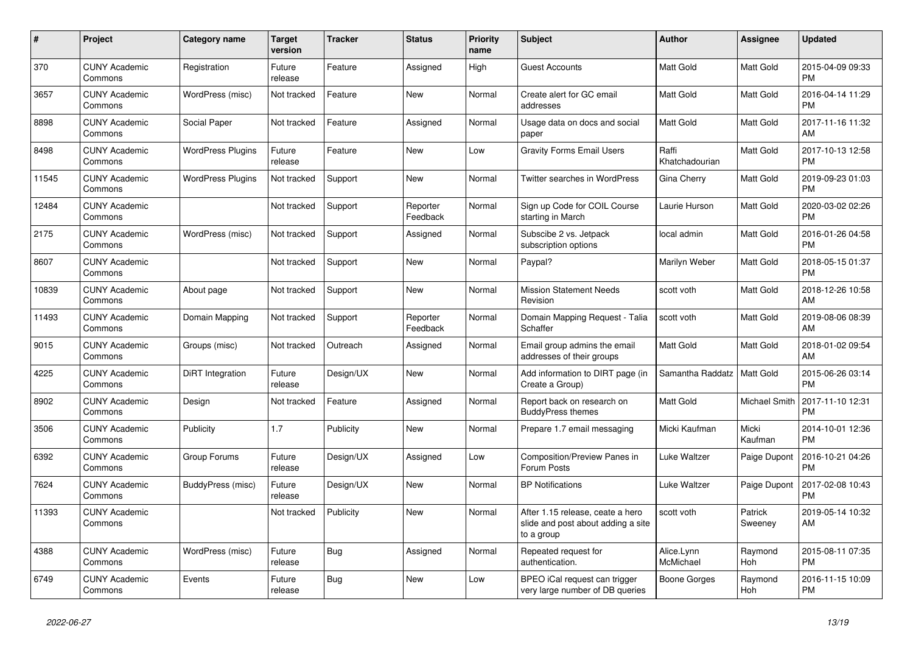| $\pmb{\#}$ | Project                         | Category name            | Target<br>version | <b>Tracker</b> | <b>Status</b>        | <b>Priority</b><br>name | <b>Subject</b>                                                                       | <b>Author</b>           | <b>Assignee</b>       | Updated                       |
|------------|---------------------------------|--------------------------|-------------------|----------------|----------------------|-------------------------|--------------------------------------------------------------------------------------|-------------------------|-----------------------|-------------------------------|
| 370        | <b>CUNY Academic</b><br>Commons | Registration             | Future<br>release | Feature        | Assigned             | High                    | <b>Guest Accounts</b>                                                                | Matt Gold               | Matt Gold             | 2015-04-09 09:33<br><b>PM</b> |
| 3657       | <b>CUNY Academic</b><br>Commons | WordPress (misc)         | Not tracked       | Feature        | <b>New</b>           | Normal                  | Create alert for GC email<br>addresses                                               | Matt Gold               | Matt Gold             | 2016-04-14 11:29<br><b>PM</b> |
| 8898       | <b>CUNY Academic</b><br>Commons | Social Paper             | Not tracked       | Feature        | Assigned             | Normal                  | Usage data on docs and social<br>paper                                               | Matt Gold               | Matt Gold             | 2017-11-16 11:32<br>AM        |
| 8498       | <b>CUNY Academic</b><br>Commons | <b>WordPress Plugins</b> | Future<br>release | Feature        | <b>New</b>           | Low                     | <b>Gravity Forms Email Users</b>                                                     | Raffi<br>Khatchadourian | Matt Gold             | 2017-10-13 12:58<br><b>PM</b> |
| 11545      | <b>CUNY Academic</b><br>Commons | <b>WordPress Plugins</b> | Not tracked       | Support        | <b>New</b>           | Normal                  | Twitter searches in WordPress                                                        | Gina Cherry             | Matt Gold             | 2019-09-23 01:03<br>РM        |
| 12484      | <b>CUNY Academic</b><br>Commons |                          | Not tracked       | Support        | Reporter<br>Feedback | Normal                  | Sign up Code for COIL Course<br>starting in March                                    | Laurie Hurson           | Matt Gold             | 2020-03-02 02:26<br>PM        |
| 2175       | <b>CUNY Academic</b><br>Commons | WordPress (misc)         | Not tracked       | Support        | Assigned             | Normal                  | Subscibe 2 vs. Jetpack<br>subscription options                                       | local admin             | Matt Gold             | 2016-01-26 04:58<br><b>PM</b> |
| 8607       | <b>CUNY Academic</b><br>Commons |                          | Not tracked       | Support        | <b>New</b>           | Normal                  | Paypal?                                                                              | Marilyn Weber           | Matt Gold             | 2018-05-15 01:37<br><b>PM</b> |
| 10839      | <b>CUNY Academic</b><br>Commons | About page               | Not tracked       | Support        | New                  | Normal                  | <b>Mission Statement Needs</b><br>Revision                                           | scott voth              | Matt Gold             | 2018-12-26 10:58<br>AM        |
| 11493      | <b>CUNY Academic</b><br>Commons | Domain Mapping           | Not tracked       | Support        | Reporter<br>Feedback | Normal                  | Domain Mapping Request - Talia<br>Schaffer                                           | scott voth              | Matt Gold             | 2019-08-06 08:39<br>AM        |
| 9015       | <b>CUNY Academic</b><br>Commons | Groups (misc)            | Not tracked       | Outreach       | Assigned             | Normal                  | Email group admins the email<br>addresses of their groups                            | Matt Gold               | Matt Gold             | 2018-01-02 09:54<br>AM        |
| 4225       | <b>CUNY Academic</b><br>Commons | DiRT Integration         | Future<br>release | Design/UX      | New                  | Normal                  | Add information to DIRT page (in<br>Create a Group)                                  | Samantha Raddatz        | Matt Gold             | 2015-06-26 03:14<br>PМ        |
| 8902       | <b>CUNY Academic</b><br>Commons | Design                   | Not tracked       | Feature        | Assigned             | Normal                  | Report back on research on<br><b>BuddyPress themes</b>                               | Matt Gold               | Michael Smith         | 2017-11-10 12:31<br><b>PM</b> |
| 3506       | <b>CUNY Academic</b><br>Commons | Publicity                | 1.7               | Publicity      | <b>New</b>           | Normal                  | Prepare 1.7 email messaging                                                          | Micki Kaufman           | Micki<br>Kaufman      | 2014-10-01 12:36<br><b>PM</b> |
| 6392       | <b>CUNY Academic</b><br>Commons | Group Forums             | Future<br>release | Design/UX      | Assigned             | Low                     | Composition/Preview Panes in<br>Forum Posts                                          | Luke Waltzer            | Paige Dupont          | 2016-10-21 04:26<br>PM        |
| 7624       | <b>CUNY Academic</b><br>Commons | BuddyPress (misc)        | Future<br>release | Design/UX      | New                  | Normal                  | <b>BP Notifications</b>                                                              | Luke Waltzer            | Paige Dupont          | 2017-02-08 10:43<br><b>PM</b> |
| 11393      | <b>CUNY Academic</b><br>Commons |                          | Not tracked       | Publicity      | <b>New</b>           | Normal                  | After 1.15 release, ceate a hero<br>slide and post about adding a site<br>to a group | scott voth              | Patrick<br>Sweeney    | 2019-05-14 10:32<br>AM        |
| 4388       | <b>CUNY Academic</b><br>Commons | WordPress (misc)         | Future<br>release | Bug            | Assigned             | Normal                  | Repeated request for<br>authentication.                                              | Alice.Lynn<br>McMichael | Raymond<br>Hoh        | 2015-08-11 07:35<br><b>PM</b> |
| 6749       | <b>CUNY Academic</b><br>Commons | Events                   | Future<br>release | <b>Bug</b>     | <b>New</b>           | Low                     | BPEO iCal request can trigger<br>very large number of DB queries                     | <b>Boone Gorges</b>     | Raymond<br><b>Hoh</b> | 2016-11-15 10:09<br><b>PM</b> |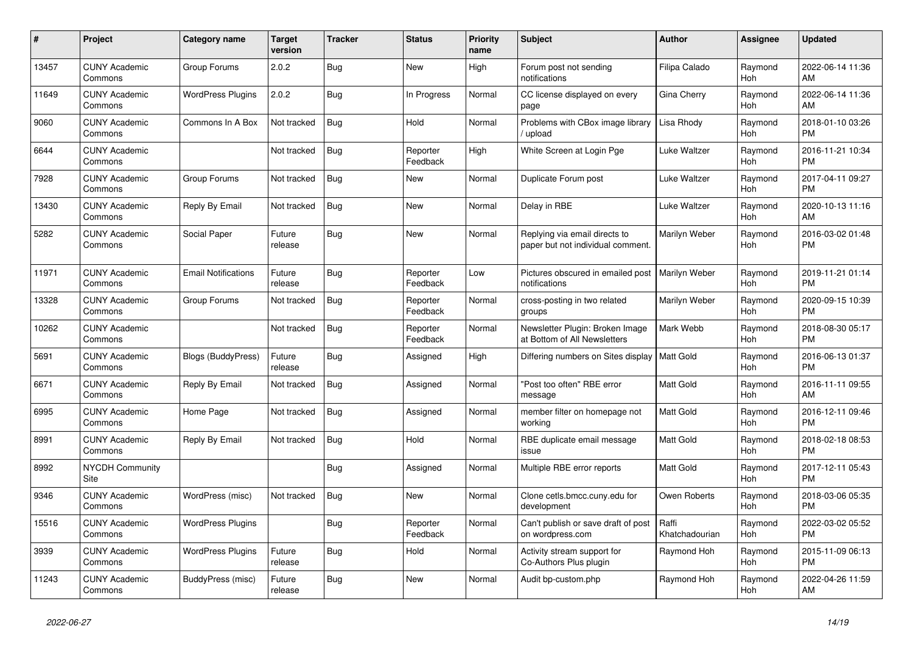| #     | Project                         | <b>Category name</b>       | <b>Target</b><br>version | <b>Tracker</b> | <b>Status</b>        | <b>Priority</b><br>name | <b>Subject</b>                                                     | <b>Author</b>           | Assignee              | <b>Updated</b>                |
|-------|---------------------------------|----------------------------|--------------------------|----------------|----------------------|-------------------------|--------------------------------------------------------------------|-------------------------|-----------------------|-------------------------------|
| 13457 | <b>CUNY Academic</b><br>Commons | Group Forums               | 2.0.2                    | Bug            | <b>New</b>           | High                    | Forum post not sending<br>notifications                            | Filipa Calado           | Raymond<br>Hoh        | 2022-06-14 11:36<br>AM        |
| 11649 | <b>CUNY Academic</b><br>Commons | <b>WordPress Plugins</b>   | 2.0.2                    | Bug            | In Progress          | Normal                  | CC license displayed on every<br>page                              | Gina Cherry             | Raymond<br><b>Hoh</b> | 2022-06-14 11:36<br>AM        |
| 9060  | <b>CUNY Academic</b><br>Commons | Commons In A Box           | Not tracked              | Bug            | Hold                 | Normal                  | Problems with CBox image library<br>upload                         | Lisa Rhody              | Raymond<br><b>Hoh</b> | 2018-01-10 03:26<br><b>PM</b> |
| 6644  | <b>CUNY Academic</b><br>Commons |                            | Not tracked              | <b>Bug</b>     | Reporter<br>Feedback | High                    | White Screen at Login Pge                                          | Luke Waltzer            | Raymond<br>Hoh        | 2016-11-21 10:34<br><b>PM</b> |
| 7928  | <b>CUNY Academic</b><br>Commons | Group Forums               | Not tracked              | <b>Bug</b>     | <b>New</b>           | Normal                  | Duplicate Forum post                                               | Luke Waltzer            | Raymond<br><b>Hoh</b> | 2017-04-11 09:27<br><b>PM</b> |
| 13430 | <b>CUNY Academic</b><br>Commons | Reply By Email             | Not tracked              | <b>Bug</b>     | <b>New</b>           | Normal                  | Delay in RBE                                                       | Luke Waltzer            | Raymond<br>Hoh        | 2020-10-13 11:16<br>AM        |
| 5282  | <b>CUNY Academic</b><br>Commons | Social Paper               | Future<br>release        | Bug            | <b>New</b>           | Normal                  | Replying via email directs to<br>paper but not individual comment. | Marilyn Weber           | Raymond<br><b>Hoh</b> | 2016-03-02 01:48<br><b>PM</b> |
| 11971 | <b>CUNY Academic</b><br>Commons | <b>Email Notifications</b> | Future<br>release        | <b>Bug</b>     | Reporter<br>Feedback | Low                     | Pictures obscured in emailed post<br>notifications                 | Marilyn Weber           | Raymond<br><b>Hoh</b> | 2019-11-21 01:14<br><b>PM</b> |
| 13328 | <b>CUNY Academic</b><br>Commons | Group Forums               | Not tracked              | <b>Bug</b>     | Reporter<br>Feedback | Normal                  | cross-posting in two related<br>groups                             | Marilyn Weber           | Raymond<br>Hoh        | 2020-09-15 10:39<br><b>PM</b> |
| 10262 | <b>CUNY Academic</b><br>Commons |                            | Not tracked              | <b>Bug</b>     | Reporter<br>Feedback | Normal                  | Newsletter Plugin: Broken Image<br>at Bottom of All Newsletters    | Mark Webb               | Raymond<br>Hoh        | 2018-08-30 05:17<br><b>PM</b> |
| 5691  | <b>CUNY Academic</b><br>Commons | <b>Blogs (BuddyPress)</b>  | Future<br>release        | <b>Bug</b>     | Assigned             | High                    | Differing numbers on Sites display   Matt Gold                     |                         | Raymond<br><b>Hoh</b> | 2016-06-13 01:37<br><b>PM</b> |
| 6671  | <b>CUNY Academic</b><br>Commons | Reply By Email             | Not tracked              | <b>Bug</b>     | Assigned             | Normal                  | "Post too often" RBE error<br>message                              | <b>Matt Gold</b>        | Raymond<br><b>Hoh</b> | 2016-11-11 09:55<br>AM        |
| 6995  | <b>CUNY Academic</b><br>Commons | Home Page                  | Not tracked              | Bug            | Assigned             | Normal                  | member filter on homepage not<br>working                           | Matt Gold               | Raymond<br>Hoh        | 2016-12-11 09:46<br><b>PM</b> |
| 8991  | <b>CUNY Academic</b><br>Commons | Reply By Email             | Not tracked              | Bug            | Hold                 | Normal                  | RBE duplicate email message<br>issue                               | Matt Gold               | Raymond<br>Hoh        | 2018-02-18 08:53<br><b>PM</b> |
| 8992  | <b>NYCDH Community</b><br>Site  |                            |                          | Bug            | Assigned             | Normal                  | Multiple RBE error reports                                         | <b>Matt Gold</b>        | Raymond<br>Hoh        | 2017-12-11 05:43<br><b>PM</b> |
| 9346  | <b>CUNY Academic</b><br>Commons | WordPress (misc)           | Not tracked              | Bug            | <b>New</b>           | Normal                  | Clone cetls.bmcc.cuny.edu for<br>development                       | Owen Roberts            | Raymond<br><b>Hoh</b> | 2018-03-06 05:35<br><b>PM</b> |
| 15516 | <b>CUNY Academic</b><br>Commons | <b>WordPress Plugins</b>   |                          | <b>Bug</b>     | Reporter<br>Feedback | Normal                  | Can't publish or save draft of post<br>on wordpress.com            | Raffi<br>Khatchadourian | Raymond<br>Hoh        | 2022-03-02 05:52<br><b>PM</b> |
| 3939  | <b>CUNY Academic</b><br>Commons | <b>WordPress Plugins</b>   | Future<br>release        | <b>Bug</b>     | Hold                 | Normal                  | Activity stream support for<br>Co-Authors Plus plugin              | Raymond Hoh             | Raymond<br>Hoh        | 2015-11-09 06:13<br><b>PM</b> |
| 11243 | <b>CUNY Academic</b><br>Commons | BuddyPress (misc)          | Future<br>release        | <b>Bug</b>     | <b>New</b>           | Normal                  | Audit bp-custom.php                                                | Raymond Hoh             | Raymond<br>Hoh        | 2022-04-26 11:59<br>AM        |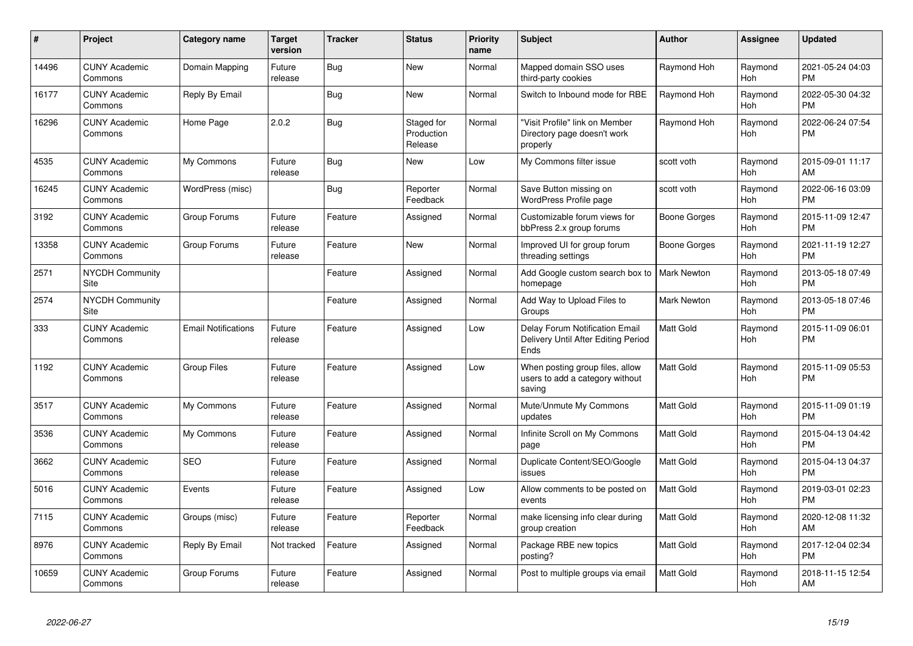| #     | Project                         | <b>Category name</b>       | <b>Target</b><br>version | <b>Tracker</b> | <b>Status</b>                       | <b>Priority</b><br>name | <b>Subject</b>                                                                | <b>Author</b>      | <b>Assignee</b>       | <b>Updated</b>                |
|-------|---------------------------------|----------------------------|--------------------------|----------------|-------------------------------------|-------------------------|-------------------------------------------------------------------------------|--------------------|-----------------------|-------------------------------|
| 14496 | <b>CUNY Academic</b><br>Commons | Domain Mapping             | Future<br>release        | <b>Bug</b>     | <b>New</b>                          | Normal                  | Mapped domain SSO uses<br>third-party cookies                                 | Raymond Hoh        | Raymond<br>Hoh        | 2021-05-24 04:03<br><b>PM</b> |
| 16177 | <b>CUNY Academic</b><br>Commons | Reply By Email             |                          | Bug            | <b>New</b>                          | Normal                  | Switch to Inbound mode for RBE                                                | Raymond Hoh        | Raymond<br>Hoh        | 2022-05-30 04:32<br><b>PM</b> |
| 16296 | <b>CUNY Academic</b><br>Commons | Home Page                  | 2.0.2                    | <b>Bug</b>     | Staged for<br>Production<br>Release | Normal                  | "Visit Profile" link on Member<br>Directory page doesn't work<br>properly     | Raymond Hoh        | Raymond<br>Hoh        | 2022-06-24 07:54<br><b>PM</b> |
| 4535  | <b>CUNY Academic</b><br>Commons | My Commons                 | Future<br>release        | <b>Bug</b>     | New                                 | Low                     | My Commons filter issue                                                       | scott voth         | Raymond<br>Hoh        | 2015-09-01 11:17<br>AM        |
| 16245 | <b>CUNY Academic</b><br>Commons | WordPress (misc)           |                          | Bug            | Reporter<br>Feedback                | Normal                  | Save Button missing on<br><b>WordPress Profile page</b>                       | scott voth         | Raymond<br><b>Hoh</b> | 2022-06-16 03:09<br><b>PM</b> |
| 3192  | <b>CUNY Academic</b><br>Commons | Group Forums               | Future<br>release        | Feature        | Assigned                            | Normal                  | Customizable forum views for<br>bbPress 2.x group forums                      | Boone Gorges       | Raymond<br>Hoh        | 2015-11-09 12:47<br><b>PM</b> |
| 13358 | <b>CUNY Academic</b><br>Commons | Group Forums               | Future<br>release        | Feature        | New                                 | Normal                  | Improved UI for group forum<br>threading settings                             | Boone Gorges       | Raymond<br>Hoh        | 2021-11-19 12:27<br><b>PM</b> |
| 2571  | <b>NYCDH Community</b><br>Site  |                            |                          | Feature        | Assigned                            | Normal                  | Add Google custom search box to<br>homepage                                   | <b>Mark Newton</b> | Raymond<br>Hoh        | 2013-05-18 07:49<br><b>PM</b> |
| 2574  | <b>NYCDH Community</b><br>Site  |                            |                          | Feature        | Assigned                            | Normal                  | Add Way to Upload Files to<br>Groups                                          | <b>Mark Newton</b> | Raymond<br>Hoh        | 2013-05-18 07:46<br><b>PM</b> |
| 333   | <b>CUNY Academic</b><br>Commons | <b>Email Notifications</b> | Future<br>release        | Feature        | Assigned                            | Low                     | Delay Forum Notification Email<br>Delivery Until After Editing Period<br>Ends | Matt Gold          | Raymond<br><b>Hoh</b> | 2015-11-09 06:01<br><b>PM</b> |
| 1192  | <b>CUNY Academic</b><br>Commons | <b>Group Files</b>         | Future<br>release        | Feature        | Assigned                            | Low                     | When posting group files, allow<br>users to add a category without<br>saving  | <b>Matt Gold</b>   | Raymond<br>Hoh        | 2015-11-09 05:53<br><b>PM</b> |
| 3517  | <b>CUNY Academic</b><br>Commons | My Commons                 | Future<br>release        | Feature        | Assigned                            | Normal                  | Mute/Unmute My Commons<br>updates                                             | <b>Matt Gold</b>   | Raymond<br>Hoh        | 2015-11-09 01:19<br><b>PM</b> |
| 3536  | <b>CUNY Academic</b><br>Commons | My Commons                 | Future<br>release        | Feature        | Assigned                            | Normal                  | Infinite Scroll on My Commons<br>page                                         | <b>Matt Gold</b>   | Raymond<br>Hoh        | 2015-04-13 04:42<br><b>PM</b> |
| 3662  | <b>CUNY Academic</b><br>Commons | <b>SEO</b>                 | Future<br>release        | Feature        | Assigned                            | Normal                  | Duplicate Content/SEO/Google<br>issues                                        | <b>Matt Gold</b>   | Raymond<br>Hoh        | 2015-04-13 04:37<br><b>PM</b> |
| 5016  | <b>CUNY Academic</b><br>Commons | Events                     | Future<br>release        | Feature        | Assigned                            | Low                     | Allow comments to be posted on<br>events                                      | Matt Gold          | Raymond<br>Hoh        | 2019-03-01 02:23<br><b>PM</b> |
| 7115  | <b>CUNY Academic</b><br>Commons | Groups (misc)              | Future<br>release        | Feature        | Reporter<br>Feedback                | Normal                  | make licensing info clear during<br>group creation                            | <b>Matt Gold</b>   | Raymond<br>Hoh        | 2020-12-08 11:32<br>AM        |
| 8976  | <b>CUNY Academic</b><br>Commons | Reply By Email             | Not tracked              | Feature        | Assigned                            | Normal                  | Package RBE new topics<br>posting?                                            | Matt Gold          | Raymond<br>Hoh        | 2017-12-04 02:34<br><b>PM</b> |
| 10659 | <b>CUNY Academic</b><br>Commons | Group Forums               | Future<br>release        | Feature        | Assigned                            | Normal                  | Post to multiple groups via email                                             | <b>Matt Gold</b>   | Raymond<br>Hoh        | 2018-11-15 12:54<br>AM        |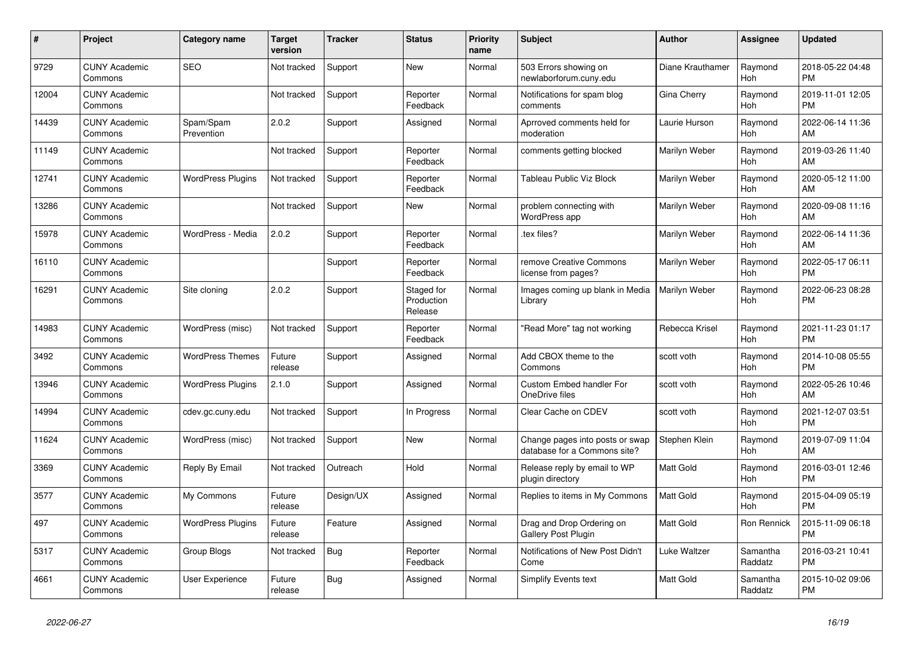| #     | <b>Project</b>                  | <b>Category name</b>     | Target<br>version | Tracker    | <b>Status</b>                       | <b>Priority</b><br>name | <b>Subject</b>                                                  | <b>Author</b>    | Assignee              | <b>Updated</b>                |
|-------|---------------------------------|--------------------------|-------------------|------------|-------------------------------------|-------------------------|-----------------------------------------------------------------|------------------|-----------------------|-------------------------------|
| 9729  | <b>CUNY Academic</b><br>Commons | <b>SEO</b>               | Not tracked       | Support    | <b>New</b>                          | Normal                  | 503 Errors showing on<br>newlaborforum.cuny.edu                 | Diane Krauthamer | Raymond<br><b>Hoh</b> | 2018-05-22 04:48<br><b>PM</b> |
| 12004 | <b>CUNY Academic</b><br>Commons |                          | Not tracked       | Support    | Reporter<br>Feedback                | Normal                  | Notifications for spam blog<br>comments                         | Gina Cherry      | Raymond<br>Hoh        | 2019-11-01 12:05<br><b>PM</b> |
| 14439 | <b>CUNY Academic</b><br>Commons | Spam/Spam<br>Prevention  | 2.0.2             | Support    | Assigned                            | Normal                  | Aprroved comments held for<br>moderation                        | Laurie Hurson    | Raymond<br><b>Hoh</b> | 2022-06-14 11:36<br>AM        |
| 11149 | <b>CUNY Academic</b><br>Commons |                          | Not tracked       | Support    | Reporter<br>Feedback                | Normal                  | comments getting blocked                                        | Marilyn Weber    | Raymond<br>Hoh        | 2019-03-26 11:40<br>AM        |
| 12741 | <b>CUNY Academic</b><br>Commons | <b>WordPress Plugins</b> | Not tracked       | Support    | Reporter<br>Feedback                | Normal                  | Tableau Public Viz Block                                        | Marilyn Weber    | Raymond<br>Hoh        | 2020-05-12 11:00<br>AM        |
| 13286 | <b>CUNY Academic</b><br>Commons |                          | Not tracked       | Support    | <b>New</b>                          | Normal                  | problem connecting with<br><b>WordPress app</b>                 | Marilyn Weber    | Raymond<br><b>Hoh</b> | 2020-09-08 11:16<br>AM        |
| 15978 | <b>CUNY Academic</b><br>Commons | WordPress - Media        | 2.0.2             | Support    | Reporter<br>Feedback                | Normal                  | tex files?                                                      | Marilyn Weber    | Raymond<br>Hoh        | 2022-06-14 11:36<br>AM        |
| 16110 | <b>CUNY Academic</b><br>Commons |                          |                   | Support    | Reporter<br>Feedback                | Normal                  | remove Creative Commons<br>license from pages?                  | Marilyn Weber    | Raymond<br>Hoh        | 2022-05-17 06:11<br><b>PM</b> |
| 16291 | <b>CUNY Academic</b><br>Commons | Site cloning             | 2.0.2             | Support    | Staged for<br>Production<br>Release | Normal                  | Images coming up blank in Media<br>Library                      | Marilyn Weber    | Raymond<br><b>Hoh</b> | 2022-06-23 08:28<br><b>PM</b> |
| 14983 | <b>CUNY Academic</b><br>Commons | WordPress (misc)         | Not tracked       | Support    | Reporter<br>Feedback                | Normal                  | "Read More" tag not working                                     | Rebecca Krisel   | Raymond<br>Hoh        | 2021-11-23 01:17<br><b>PM</b> |
| 3492  | <b>CUNY Academic</b><br>Commons | <b>WordPress Themes</b>  | Future<br>release | Support    | Assigned                            | Normal                  | Add CBOX theme to the<br>Commons                                | scott voth       | Raymond<br><b>Hoh</b> | 2014-10-08 05:55<br><b>PM</b> |
| 13946 | <b>CUNY Academic</b><br>Commons | <b>WordPress Plugins</b> | 2.1.0             | Support    | Assigned                            | Normal                  | <b>Custom Embed handler For</b><br>OneDrive files               | scott voth       | Raymond<br>Hoh        | 2022-05-26 10:46<br>AM        |
| 14994 | <b>CUNY Academic</b><br>Commons | cdev.gc.cuny.edu         | Not tracked       | Support    | In Progress                         | Normal                  | Clear Cache on CDEV                                             | scott voth       | Raymond<br>Hoh        | 2021-12-07 03:51<br><b>PM</b> |
| 11624 | <b>CUNY Academic</b><br>Commons | WordPress (misc)         | Not tracked       | Support    | <b>New</b>                          | Normal                  | Change pages into posts or swap<br>database for a Commons site? | Stephen Klein    | Raymond<br>Hoh        | 2019-07-09 11:04<br>AM        |
| 3369  | <b>CUNY Academic</b><br>Commons | Reply By Email           | Not tracked       | Outreach   | Hold                                | Normal                  | Release reply by email to WP<br>plugin directory                | Matt Gold        | Raymond<br>Hoh        | 2016-03-01 12:46<br><b>PM</b> |
| 3577  | <b>CUNY Academic</b><br>Commons | My Commons               | Future<br>release | Design/UX  | Assigned                            | Normal                  | Replies to items in My Commons                                  | Matt Gold        | Raymond<br><b>Hoh</b> | 2015-04-09 05:19<br><b>PM</b> |
| 497   | <b>CUNY Academic</b><br>Commons | <b>WordPress Plugins</b> | Future<br>release | Feature    | Assigned                            | Normal                  | Drag and Drop Ordering on<br><b>Gallery Post Plugin</b>         | <b>Matt Gold</b> | Ron Rennick           | 2015-11-09 06:18<br><b>PM</b> |
| 5317  | <b>CUNY Academic</b><br>Commons | Group Blogs              | Not tracked       | <b>Bug</b> | Reporter<br>Feedback                | Normal                  | Notifications of New Post Didn't<br>Come                        | Luke Waltzer     | Samantha<br>Raddatz   | 2016-03-21 10:41<br><b>PM</b> |
| 4661  | <b>CUNY Academic</b><br>Commons | <b>User Experience</b>   | Future<br>release | Bug        | Assigned                            | Normal                  | Simplify Events text                                            | <b>Matt Gold</b> | Samantha<br>Raddatz   | 2015-10-02 09:06<br><b>PM</b> |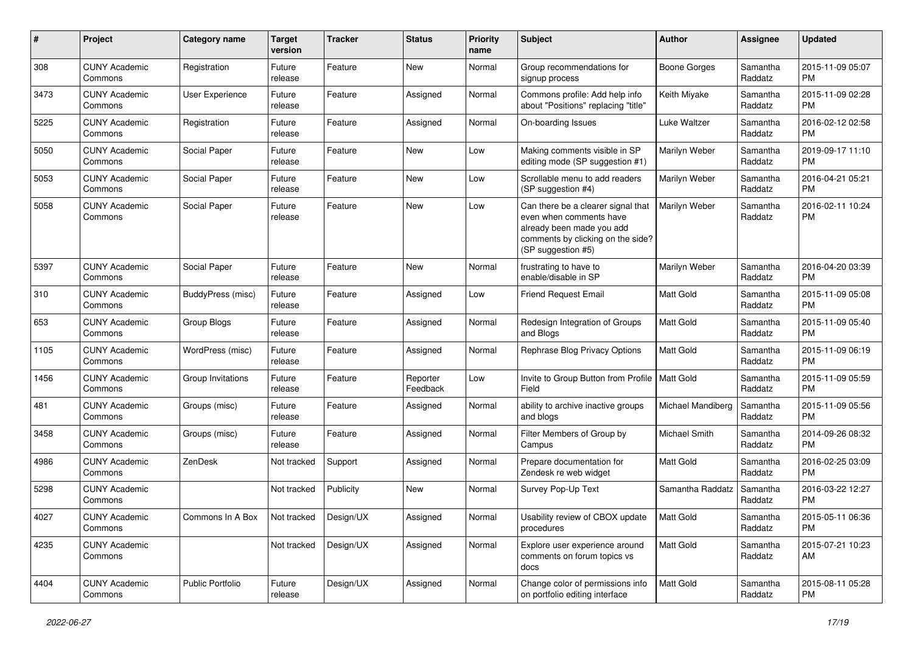| #    | Project                         | <b>Category name</b>   | <b>Target</b><br>version | <b>Tracker</b> | <b>Status</b>        | <b>Priority</b><br>name | <b>Subject</b>                                                                                                                                        | <b>Author</b>       | <b>Assignee</b>     | <b>Updated</b>                |
|------|---------------------------------|------------------------|--------------------------|----------------|----------------------|-------------------------|-------------------------------------------------------------------------------------------------------------------------------------------------------|---------------------|---------------------|-------------------------------|
| 308  | <b>CUNY Academic</b><br>Commons | Registration           | Future<br>release        | Feature        | New                  | Normal                  | Group recommendations for<br>signup process                                                                                                           | <b>Boone Gorges</b> | Samantha<br>Raddatz | 2015-11-09 05:07<br><b>PM</b> |
| 3473 | <b>CUNY Academic</b><br>Commons | <b>User Experience</b> | Future<br>release        | Feature        | Assigned             | Normal                  | Commons profile: Add help info<br>about "Positions" replacing "title"                                                                                 | Keith Miyake        | Samantha<br>Raddatz | 2015-11-09 02:28<br><b>PM</b> |
| 5225 | <b>CUNY Academic</b><br>Commons | Registration           | Future<br>release        | Feature        | Assigned             | Normal                  | On-boarding Issues                                                                                                                                    | Luke Waltzer        | Samantha<br>Raddatz | 2016-02-12 02:58<br><b>PM</b> |
| 5050 | <b>CUNY Academic</b><br>Commons | Social Paper           | Future<br>release        | Feature        | New                  | Low                     | Making comments visible in SP<br>editing mode (SP suggestion #1)                                                                                      | Marilyn Weber       | Samantha<br>Raddatz | 2019-09-17 11:10<br><b>PM</b> |
| 5053 | <b>CUNY Academic</b><br>Commons | Social Paper           | Future<br>release        | Feature        | <b>New</b>           | Low                     | Scrollable menu to add readers<br>(SP suggestion #4)                                                                                                  | Marilyn Weber       | Samantha<br>Raddatz | 2016-04-21 05:21<br><b>PM</b> |
| 5058 | <b>CUNY Academic</b><br>Commons | Social Paper           | Future<br>release        | Feature        | New                  | Low                     | Can there be a clearer signal that<br>even when comments have<br>already been made you add<br>comments by clicking on the side?<br>(SP suggestion #5) | Marilyn Weber       | Samantha<br>Raddatz | 2016-02-11 10:24<br><b>PM</b> |
| 5397 | <b>CUNY Academic</b><br>Commons | Social Paper           | Future<br>release        | Feature        | <b>New</b>           | Normal                  | frustrating to have to<br>enable/disable in SP                                                                                                        | Marilyn Weber       | Samantha<br>Raddatz | 2016-04-20 03:39<br><b>PM</b> |
| 310  | <b>CUNY Academic</b><br>Commons | BuddyPress (misc)      | Future<br>release        | Feature        | Assigned             | Low                     | <b>Friend Request Email</b>                                                                                                                           | <b>Matt Gold</b>    | Samantha<br>Raddatz | 2015-11-09 05:08<br><b>PM</b> |
| 653  | <b>CUNY Academic</b><br>Commons | Group Blogs            | Future<br>release        | Feature        | Assigned             | Normal                  | Redesign Integration of Groups<br>and Blogs                                                                                                           | <b>Matt Gold</b>    | Samantha<br>Raddatz | 2015-11-09 05:40<br><b>PM</b> |
| 1105 | <b>CUNY Academic</b><br>Commons | WordPress (misc)       | Future<br>release        | Feature        | Assigned             | Normal                  | Rephrase Blog Privacy Options                                                                                                                         | Matt Gold           | Samantha<br>Raddatz | 2015-11-09 06:19<br><b>PM</b> |
| 1456 | <b>CUNY Academic</b><br>Commons | Group Invitations      | Future<br>release        | Feature        | Reporter<br>Feedback | Low                     | Invite to Group Button from Profile  <br>Field                                                                                                        | Matt Gold           | Samantha<br>Raddatz | 2015-11-09 05:59<br><b>PM</b> |
| 481  | <b>CUNY Academic</b><br>Commons | Groups (misc)          | Future<br>release        | Feature        | Assigned             | Normal                  | ability to archive inactive groups<br>and blogs                                                                                                       | Michael Mandiberg   | Samantha<br>Raddatz | 2015-11-09 05:56<br><b>PM</b> |
| 3458 | <b>CUNY Academic</b><br>Commons | Groups (misc)          | Future<br>release        | Feature        | Assigned             | Normal                  | Filter Members of Group by<br>Campus                                                                                                                  | Michael Smith       | Samantha<br>Raddatz | 2014-09-26 08:32<br><b>PM</b> |
| 4986 | <b>CUNY Academic</b><br>Commons | ZenDesk                | Not tracked              | Support        | Assigned             | Normal                  | Prepare documentation for<br>Zendesk re web widget                                                                                                    | Matt Gold           | Samantha<br>Raddatz | 2016-02-25 03:09<br><b>PM</b> |
| 5298 | <b>CUNY Academic</b><br>Commons |                        | Not tracked              | Publicity      | <b>New</b>           | Normal                  | Survey Pop-Up Text                                                                                                                                    | Samantha Raddatz    | Samantha<br>Raddatz | 2016-03-22 12:27<br><b>PM</b> |
| 4027 | <b>CUNY Academic</b><br>Commons | Commons In A Box       | Not tracked              | Design/UX      | Assigned             | Normal                  | Usability review of CBOX update<br>procedures                                                                                                         | Matt Gold           | Samantha<br>Raddatz | 2015-05-11 06:36<br><b>PM</b> |
| 4235 | <b>CUNY Academic</b><br>Commons |                        | Not tracked              | Design/UX      | Assigned             | Normal                  | Explore user experience around<br>comments on forum topics vs<br>docs                                                                                 | Matt Gold           | Samantha<br>Raddatz | 2015-07-21 10:23<br>AM        |
| 4404 | <b>CUNY Academic</b><br>Commons | Public Portfolio       | Future<br>release        | Design/UX      | Assigned             | Normal                  | Change color of permissions info<br>on portfolio editing interface                                                                                    | Matt Gold           | Samantha<br>Raddatz | 2015-08-11 05:28<br>PM        |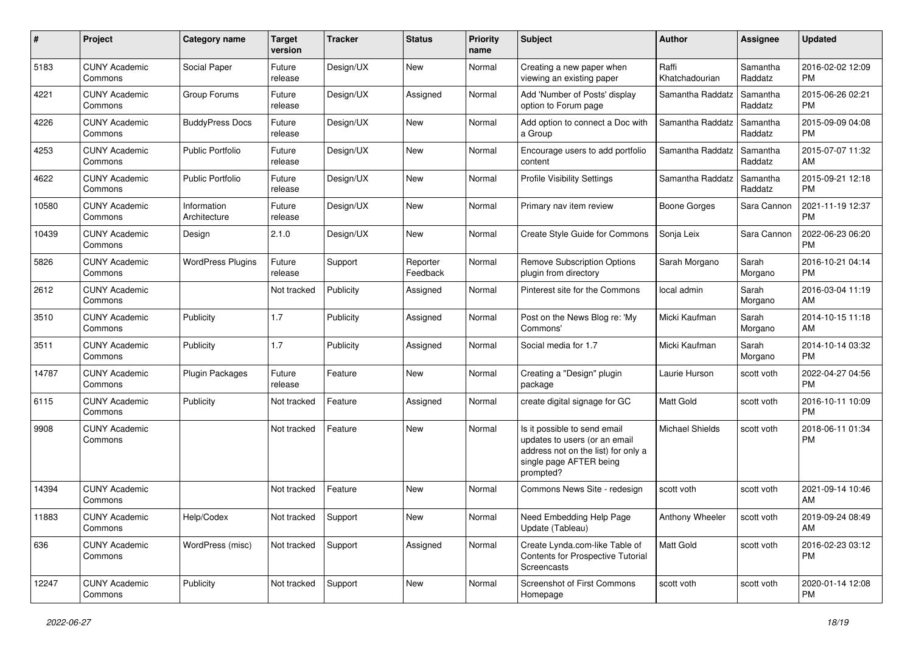| #     | Project                         | <b>Category name</b>        | <b>Target</b><br>version | <b>Tracker</b> | <b>Status</b>        | <b>Priority</b><br>name | Subject                                                                                                                                      | Author                  | <b>Assignee</b>     | <b>Updated</b>                |
|-------|---------------------------------|-----------------------------|--------------------------|----------------|----------------------|-------------------------|----------------------------------------------------------------------------------------------------------------------------------------------|-------------------------|---------------------|-------------------------------|
| 5183  | <b>CUNY Academic</b><br>Commons | Social Paper                | Future<br>release        | Design/UX      | New                  | Normal                  | Creating a new paper when<br>viewing an existing paper                                                                                       | Raffi<br>Khatchadourian | Samantha<br>Raddatz | 2016-02-02 12:09<br>PM        |
| 4221  | <b>CUNY Academic</b><br>Commons | Group Forums                | Future<br>release        | Design/UX      | Assigned             | Normal                  | Add 'Number of Posts' display<br>option to Forum page                                                                                        | Samantha Raddatz        | Samantha<br>Raddatz | 2015-06-26 02:21<br><b>PM</b> |
| 4226  | <b>CUNY Academic</b><br>Commons | <b>BuddyPress Docs</b>      | Future<br>release        | Design/UX      | New                  | Normal                  | Add option to connect a Doc with<br>a Group                                                                                                  | Samantha Raddatz        | Samantha<br>Raddatz | 2015-09-09 04:08<br><b>PM</b> |
| 4253  | <b>CUNY Academic</b><br>Commons | <b>Public Portfolio</b>     | Future<br>release        | Design/UX      | <b>New</b>           | Normal                  | Encourage users to add portfolio<br>content                                                                                                  | Samantha Raddatz        | Samantha<br>Raddatz | 2015-07-07 11:32<br>AM        |
| 4622  | <b>CUNY Academic</b><br>Commons | <b>Public Portfolio</b>     | Future<br>release        | Design/UX      | <b>New</b>           | Normal                  | <b>Profile Visibility Settings</b>                                                                                                           | Samantha Raddatz        | Samantha<br>Raddatz | 2015-09-21 12:18<br><b>PM</b> |
| 10580 | <b>CUNY Academic</b><br>Commons | Information<br>Architecture | Future<br>release        | Design/UX      | New                  | Normal                  | Primary nav item review                                                                                                                      | <b>Boone Gorges</b>     | Sara Cannon         | 2021-11-19 12:37<br><b>PM</b> |
| 10439 | <b>CUNY Academic</b><br>Commons | Design                      | 2.1.0                    | Design/UX      | New                  | Normal                  | Create Style Guide for Commons                                                                                                               | Sonja Leix              | Sara Cannon         | 2022-06-23 06:20<br><b>PM</b> |
| 5826  | <b>CUNY Academic</b><br>Commons | <b>WordPress Plugins</b>    | Future<br>release        | Support        | Reporter<br>Feedback | Normal                  | <b>Remove Subscription Options</b><br>plugin from directory                                                                                  | Sarah Morgano           | Sarah<br>Morgano    | 2016-10-21 04:14<br><b>PM</b> |
| 2612  | <b>CUNY Academic</b><br>Commons |                             | Not tracked              | Publicity      | Assigned             | Normal                  | Pinterest site for the Commons                                                                                                               | local admin             | Sarah<br>Morgano    | 2016-03-04 11:19<br>AM        |
| 3510  | <b>CUNY Academic</b><br>Commons | Publicity                   | 1.7                      | Publicity      | Assigned             | Normal                  | Post on the News Blog re: 'My<br>Commons'                                                                                                    | Micki Kaufman           | Sarah<br>Morgano    | 2014-10-15 11:18<br>AM        |
| 3511  | <b>CUNY Academic</b><br>Commons | Publicity                   | 1.7                      | Publicity      | Assigned             | Normal                  | Social media for 1.7                                                                                                                         | Micki Kaufman           | Sarah<br>Morgano    | 2014-10-14 03:32<br><b>PM</b> |
| 14787 | <b>CUNY Academic</b><br>Commons | <b>Plugin Packages</b>      | Future<br>release        | Feature        | <b>New</b>           | Normal                  | Creating a "Design" plugin<br>package                                                                                                        | Laurie Hurson           | scott voth          | 2022-04-27 04:56<br><b>PM</b> |
| 6115  | <b>CUNY Academic</b><br>Commons | Publicity                   | Not tracked              | Feature        | Assigned             | Normal                  | create digital signage for GC                                                                                                                | Matt Gold               | scott voth          | 2016-10-11 10:09<br><b>PM</b> |
| 9908  | <b>CUNY Academic</b><br>Commons |                             | Not tracked              | Feature        | <b>New</b>           | Normal                  | Is it possible to send email<br>updates to users (or an email<br>address not on the list) for only a<br>single page AFTER being<br>prompted? | <b>Michael Shields</b>  | scott voth          | 2018-06-11 01:34<br>PM        |
| 14394 | <b>CUNY Academic</b><br>Commons |                             | Not tracked              | Feature        | New                  | Normal                  | Commons News Site - redesign                                                                                                                 | scott voth              | scott voth          | 2021-09-14 10:46<br>AM        |
| 11883 | <b>CUNY Academic</b><br>Commons | Help/Codex                  | Not tracked Support      |                | New                  | Normal                  | Need Embedding Help Page<br>Update (Tableau)                                                                                                 | Anthony Wheeler         | scott voth          | 2019-09-24 08:49<br>AM        |
| 636   | <b>CUNY Academic</b><br>Commons | WordPress (misc)            | Not tracked              | Support        | Assigned             | Normal                  | Create Lynda.com-like Table of<br><b>Contents for Prospective Tutorial</b><br>Screencasts                                                    | Matt Gold               | scott voth          | 2016-02-23 03:12<br><b>PM</b> |
| 12247 | <b>CUNY Academic</b><br>Commons | Publicity                   | Not tracked              | Support        | New                  | Normal                  | Screenshot of First Commons<br>Homepage                                                                                                      | scott voth              | scott voth          | 2020-01-14 12:08<br>PM        |